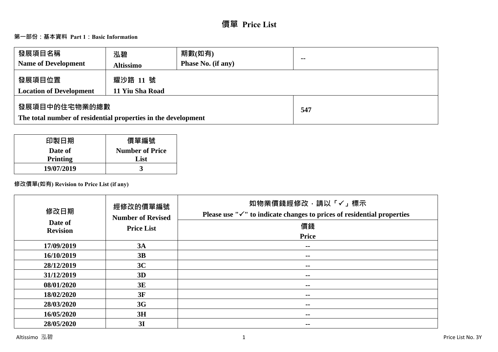# **價單 Price List**

# **第一部份:基本資料 Part 1:Basic Information**

| 發展項目名稱<br><b>Name of Development</b>                                           | 泓碧<br><b>Altissimo</b>      | 期數(如有)<br><b>Phase No. (if any)</b> | $\sim$ |
|--------------------------------------------------------------------------------|-----------------------------|-------------------------------------|--------|
| 發展項目位置<br><b>Location of Development</b>                                       | 耀沙路 11 號<br>11 Yiu Sha Road |                                     |        |
| 發展項目中的住宅物業的總數<br>The total number of residential properties in the development |                             | 547                                 |        |

| 印製日期            | 價單編號                   |
|-----------------|------------------------|
| Date of         | <b>Number of Price</b> |
| <b>Printing</b> | List                   |
| 19/07/2019      |                        |

# **修改價單(如有) Revision to Price List (if any)**

| 修改日期<br>Date of | 經修改的價單編號<br><b>Number of Revised</b> | 如物業價錢經修改,請以「✓」標示<br>Please use " $\checkmark$ " to indicate changes to prices of residential properties |
|-----------------|--------------------------------------|---------------------------------------------------------------------------------------------------------|
| <b>Revision</b> | <b>Price List</b>                    | 價錢                                                                                                      |
|                 |                                      | <b>Price</b>                                                                                            |
| 17/09/2019      | 3A                                   | --                                                                                                      |
| 16/10/2019      | 3B                                   | $\sim$ $\sim$                                                                                           |
| 28/12/2019      | 3C                                   | $- -$                                                                                                   |
| 31/12/2019      | 3D                                   | $\sim$ $\sim$                                                                                           |
| 08/01/2020      | 3E                                   | --                                                                                                      |
| 18/02/2020      | 3F                                   | $\sim$ $\sim$                                                                                           |
| 28/03/2020      | 3G                                   | --                                                                                                      |
| 16/05/2020      | 3H                                   | --                                                                                                      |
| 28/05/2020      | 3I                                   | --                                                                                                      |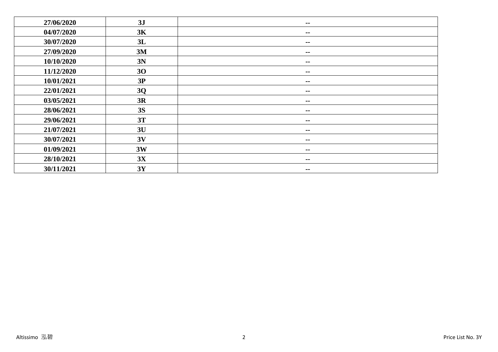| 27/06/2020 | 3J        | $\sim$ $\sim$ |
|------------|-----------|---------------|
| 04/07/2020 | 3K        | $\sim$ $\sim$ |
| 30/07/2020 | 3L        | $\sim$ $\sim$ |
| 27/09/2020 | 3M        | $\sim$ $\sim$ |
| 10/10/2020 | 3N        | $\sim$ $-$    |
| 11/12/2020 | 30        | $\sim$ $\sim$ |
| 10/01/2021 | 3P        | $\sim$ $\sim$ |
| 22/01/2021 | 3Q        | $\sim$ $\sim$ |
| 03/05/2021 | 3R        | $\sim$ $-$    |
| 28/06/2021 | <b>3S</b> | $\sim$ $-$    |
| 29/06/2021 | 3T        | $\sim$ $\sim$ |
| 21/07/2021 | 3U        | $\sim$ $\sim$ |
| 30/07/2021 | 3V        | $\sim$ $\sim$ |
| 01/09/2021 | 3W        | $\sim$ $\sim$ |
| 28/10/2021 | 3X        | $\sim$ $\sim$ |
| 30/11/2021 | 3Y        | $\sim$ $-$    |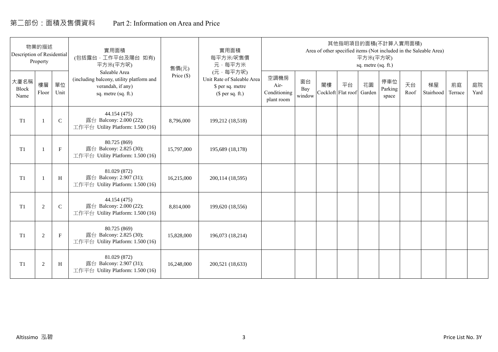# 第二部份:面積及售價資料 Part 2: Information on Area and Price

| Description of Residential | 物業的描述<br>Property |              | 實用面積<br>(包括露台,工作平台及陽台 如有)<br>平方米(平方呎)                                                                 | 售價(元)        | 實用面積<br>每平方米/呎售價<br>元·每平方米                                                     |                                            |                     |    | 其他指明項目的面積(不計算入實用面積)      | 平方米(平方呎)<br>sq. metre (sq. ft.) |                         |            | Area of other specified items (Not included in the Saleable Area) |               |            |
|----------------------------|-------------------|--------------|-------------------------------------------------------------------------------------------------------|--------------|--------------------------------------------------------------------------------|--------------------------------------------|---------------------|----|--------------------------|---------------------------------|-------------------------|------------|-------------------------------------------------------------------|---------------|------------|
| 大廈名稱<br>Block<br>Name      | 樓層<br>Floor       | 單位<br>Unit   | Saleable Area<br>(including balcony, utility platform and<br>verandah, if any)<br>sq. metre (sq. ft.) | Price $(\$)$ | (元·每平方呎)<br>Unit Rate of Saleable Area<br>\$ per sq. metre<br>$$$ per sq. ft.) | 空調機房<br>Air-<br>Conditioning<br>plant room | 窗台<br>Bay<br>window | 閣樓 | 平台<br>Cockloft Flat roof | 花園<br>Garden                    | 停車位<br>Parking<br>space | 天台<br>Roof | 梯屋<br>Stairhood                                                   | 前庭<br>Terrace | 庭院<br>Yard |
| T1                         |                   | $\mathsf{C}$ | 44.154 (475)<br>露台 Balcony: 2.000 (22);<br>工作平台 Utility Platform: 1.500 (16)                          | 8,796,000    | 199,212 (18,518)                                                               |                                            |                     |    |                          |                                 |                         |            |                                                                   |               |            |
| T <sub>1</sub>             |                   | $\mathbf{F}$ | 80.725 (869)<br>露台 Balcony: 2.825 (30);<br>工作平台 Utility Platform: 1.500 (16)                          | 15,797,000   | 195,689 (18,178)                                                               |                                            |                     |    |                          |                                 |                         |            |                                                                   |               |            |
| T <sub>1</sub>             |                   | H            | 81.029 (872)<br>露台 Balcony: 2.907 (31);<br>工作平台 Utility Platform: 1.500 (16)                          | 16,215,000   | 200, 114 (18, 595)                                                             |                                            |                     |    |                          |                                 |                         |            |                                                                   |               |            |
| T <sub>1</sub>             | 2                 | $\mathbf C$  | 44.154 (475)<br>露台 Balcony: 2.000 (22);<br>工作平台 Utility Platform: 1.500 (16)                          | 8,814,000    | 199,620 (18,556)                                                               |                                            |                     |    |                          |                                 |                         |            |                                                                   |               |            |
| T <sub>1</sub>             | 2                 | $\mathbf{F}$ | 80.725 (869)<br>露台 Balcony: 2.825 (30);<br>工作平台 Utility Platform: 1.500 (16)                          | 15,828,000   | 196,073 (18,214)                                                               |                                            |                     |    |                          |                                 |                         |            |                                                                   |               |            |
| T1                         | $\overline{2}$    | H            | 81.029 (872)<br>露台 Balcony: 2.907 (31);<br>工作平台 Utility Platform: 1.500 (16)                          | 16,248,000   | 200,521 (18,633)                                                               |                                            |                     |    |                          |                                 |                         |            |                                                                   |               |            |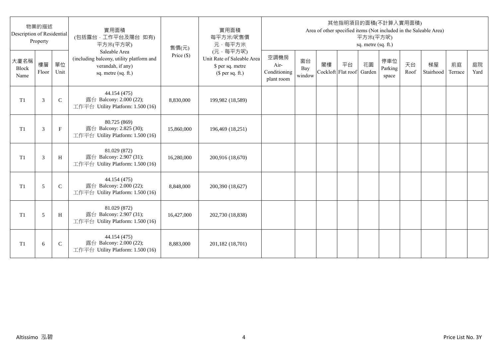| Description of Residential | 物業的描述<br>Property |              | 實用面積<br>(包括露台,工作平台及陽台 如有)<br>平方米(平方呎)                                                                 | 售價(元)      | 實用面積<br>每平方米/呎售價<br>元·每平方米                                                     |                                            |                     |                          |    | 平方米(平方呎)<br>sq. metre (sq. ft.) | 其他指明項目的面積(不計算入實用面積)     |            | Area of other specified items (Not included in the Saleable Area) |               |            |
|----------------------------|-------------------|--------------|-------------------------------------------------------------------------------------------------------|------------|--------------------------------------------------------------------------------|--------------------------------------------|---------------------|--------------------------|----|---------------------------------|-------------------------|------------|-------------------------------------------------------------------|---------------|------------|
| 大廈名稱<br>Block<br>Name      | 樓層<br>Floor       | 單位<br>Unit   | Saleable Area<br>(including balcony, utility platform and<br>verandah, if any)<br>sq. metre (sq. ft.) | Price (\$) | (元·每平方呎)<br>Unit Rate of Saleable Area<br>\$ per sq. metre<br>$$$ per sq. ft.) | 空調機房<br>Air-<br>Conditioning<br>plant room | 窗台<br>Bay<br>window | 閣樓<br>Cockloft Flat roof | 平台 | 花園<br>Garden                    | 停車位<br>Parking<br>space | 天台<br>Roof | 梯屋<br>Stairhood                                                   | 前庭<br>Terrace | 庭院<br>Yard |
| T <sub>1</sub>             | 3                 | $\mathsf{C}$ | 44.154 (475)<br>露台 Balcony: 2.000 (22);<br>工作平台 Utility Platform: 1.500 (16)                          | 8,830,000  | 199,982 (18,589)                                                               |                                            |                     |                          |    |                                 |                         |            |                                                                   |               |            |
| T <sub>1</sub>             | 3                 | $_{\rm F}$   | 80.725 (869)<br>露台 Balcony: 2.825 (30);<br>工作平台 Utility Platform: 1.500 (16)                          | 15,860,000 | 196,469 (18,251)                                                               |                                            |                     |                          |    |                                 |                         |            |                                                                   |               |            |
| T1                         | 3                 | H            | 81.029 (872)<br>露台 Balcony: 2.907 (31);<br>工作平台 Utility Platform: 1.500 (16)                          | 16,280,000 | 200,916 (18,670)                                                               |                                            |                     |                          |    |                                 |                         |            |                                                                   |               |            |
| T1                         | 5                 | $\mathsf{C}$ | 44.154 (475)<br>露台 Balcony: 2.000 (22);<br>工作平台 Utility Platform: 1.500 (16)                          | 8,848,000  | 200,390 (18,627)                                                               |                                            |                     |                          |    |                                 |                         |            |                                                                   |               |            |
| T1                         | 5                 | H            | 81.029 (872)<br>露台 Balcony: 2.907 (31);<br>工作平台 Utility Platform: 1.500 (16)                          | 16,427,000 | 202,730 (18,838)                                                               |                                            |                     |                          |    |                                 |                         |            |                                                                   |               |            |
| T <sub>1</sub>             | 6                 | $\mathsf{C}$ | 44.154 (475)<br>露台 Balcony: 2.000 (22);<br>工作平台 Utility Platform: 1.500 (16)                          | 8,883,000  | 201,182 (18,701)                                                               |                                            |                     |                          |    |                                 |                         |            |                                                                   |               |            |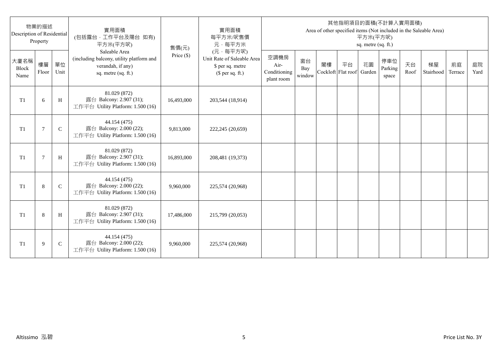| Description of Residential | 物業的描述<br>Property |               | 實用面積<br>(包括露台,工作平台及陽台 如有)<br>平方米(平方呎)                                                                 | 售價(元)      | 實用面積<br>每平方米/呎售價<br>元·每平方米                                                     |                                            |                     |    |                          | 平方米(平方呎)<br>sq. metre (sq. ft.) | 其他指明項目的面積(不計算入實用面積)     |            | Area of other specified items (Not included in the Saleable Area) |               |            |
|----------------------------|-------------------|---------------|-------------------------------------------------------------------------------------------------------|------------|--------------------------------------------------------------------------------|--------------------------------------------|---------------------|----|--------------------------|---------------------------------|-------------------------|------------|-------------------------------------------------------------------|---------------|------------|
| 大廈名稱<br>Block<br>Name      | 樓層<br>Floor       | 單位<br>Unit    | Saleable Area<br>(including balcony, utility platform and<br>verandah, if any)<br>sq. metre (sq. ft.) | Price (\$) | (元·每平方呎)<br>Unit Rate of Saleable Area<br>\$ per sq. metre<br>$$$ per sq. ft.) | 空調機房<br>Air-<br>Conditioning<br>plant room | 窗台<br>Bay<br>window | 閣樓 | 平台<br>Cockloft Flat roof | 花園<br>Garden                    | 停車位<br>Parking<br>space | 天台<br>Roof | 梯屋<br>Stairhood                                                   | 前庭<br>Terrace | 庭院<br>Yard |
| T1                         | 6                 | H             | 81.029 (872)<br>露台 Balcony: 2.907 (31);<br>工作平台 Utility Platform: 1.500 (16)                          | 16,493,000 | 203,544 (18,914)                                                               |                                            |                     |    |                          |                                 |                         |            |                                                                   |               |            |
| T1                         | $7\phantom{.0}$   | $\mathsf{C}$  | 44.154 (475)<br>露台 Balcony: 2.000 (22);<br>工作平台 Utility Platform: 1.500 (16)                          | 9,813,000  | 222,245 (20,659)                                                               |                                            |                     |    |                          |                                 |                         |            |                                                                   |               |            |
| T1                         | $\overline{7}$    | H             | 81.029 (872)<br>露台 Balcony: 2.907 (31);<br>工作平台 Utility Platform: 1.500 (16)                          | 16,893,000 | 208,481 (19,373)                                                               |                                            |                     |    |                          |                                 |                         |            |                                                                   |               |            |
| T1                         | 8                 | $\mathcal{C}$ | 44.154 (475)<br>露台 Balcony: 2.000 (22);<br>工作平台 Utility Platform: 1.500 (16)                          | 9,960,000  | 225,574 (20,968)                                                               |                                            |                     |    |                          |                                 |                         |            |                                                                   |               |            |
| T <sub>1</sub>             | 8                 | H             | 81.029 (872)<br>露台 Balcony: 2.907 (31);<br>工作平台 Utility Platform: 1.500 (16)                          | 17,486,000 | 215,799 (20,053)                                                               |                                            |                     |    |                          |                                 |                         |            |                                                                   |               |            |
| T <sub>1</sub>             | 9                 | $\mathsf{C}$  | 44.154 (475)<br>露台 Balcony: 2.000 (22);<br>工作平台 Utility Platform: 1.500 (16)                          | 9,960,000  | 225,574 (20,968)                                                               |                                            |                     |    |                          |                                 |                         |            |                                                                   |               |            |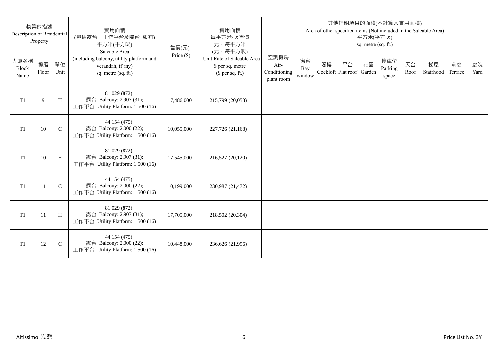| Description of Residential | 物業的描述<br>Property |              | 實用面積<br>(包括露台,工作平台及陽台 如有)<br>平方米(平方呎)                                                                 | 售價(元)      | 實用面積<br>每平方米/呎售價<br>元·每平方米                                                     |                                            |                     |                          |    | 平方米(平方呎)<br>sq. metre (sq. ft.) | 其他指明項目的面積(不計算入實用面積)     |            | Area of other specified items (Not included in the Saleable Area) |               |            |
|----------------------------|-------------------|--------------|-------------------------------------------------------------------------------------------------------|------------|--------------------------------------------------------------------------------|--------------------------------------------|---------------------|--------------------------|----|---------------------------------|-------------------------|------------|-------------------------------------------------------------------|---------------|------------|
| 大廈名稱<br>Block<br>Name      | 樓層<br>Floor       | 單位<br>Unit   | Saleable Area<br>(including balcony, utility platform and<br>verandah, if any)<br>sq. metre (sq. ft.) | Price (\$) | (元·每平方呎)<br>Unit Rate of Saleable Area<br>\$ per sq. metre<br>$$$ per sq. ft.) | 空調機房<br>Air-<br>Conditioning<br>plant room | 窗台<br>Bay<br>window | 閣樓<br>Cockloft Flat roof | 平台 | 花園<br>Garden                    | 停車位<br>Parking<br>space | 天台<br>Roof | 梯屋<br>Stairhood                                                   | 前庭<br>Terrace | 庭院<br>Yard |
| T <sub>1</sub>             | 9                 | H            | 81.029 (872)<br>露台 Balcony: 2.907 (31);<br>工作平台 Utility Platform: 1.500 (16)                          | 17,486,000 | 215,799 (20,053)                                                               |                                            |                     |                          |    |                                 |                         |            |                                                                   |               |            |
| T <sub>1</sub>             | 10                | $\mathsf{C}$ | 44.154 (475)<br>露台 Balcony: 2.000 (22);<br>工作平台 Utility Platform: 1.500 (16)                          | 10,055,000 | 227,726 (21,168)                                                               |                                            |                     |                          |    |                                 |                         |            |                                                                   |               |            |
| T1                         | 10                | H            | 81.029 (872)<br>露台 Balcony: 2.907 (31);<br>工作平台 Utility Platform: 1.500 (16)                          | 17,545,000 | 216,527 (20,120)                                                               |                                            |                     |                          |    |                                 |                         |            |                                                                   |               |            |
| T1                         | 11                | $\mathbf C$  | 44.154 (475)<br>露台 Balcony: 2.000 (22);<br>工作平台 Utility Platform: 1.500 (16)                          | 10,199,000 | 230,987 (21,472)                                                               |                                            |                     |                          |    |                                 |                         |            |                                                                   |               |            |
| T1                         | -11               | H            | 81.029 (872)<br>露台 Balcony: 2.907 (31);<br>工作平台 Utility Platform: 1.500 (16)                          | 17,705,000 | 218,502 (20,304)                                                               |                                            |                     |                          |    |                                 |                         |            |                                                                   |               |            |
| T <sub>1</sub>             | 12                | $\mathsf{C}$ | 44.154 (475)<br>露台 Balcony: 2.000 (22);<br>工作平台 Utility Platform: 1.500 (16)                          | 10,448,000 | 236,626 (21,996)                                                               |                                            |                     |                          |    |                                 |                         |            |                                                                   |               |            |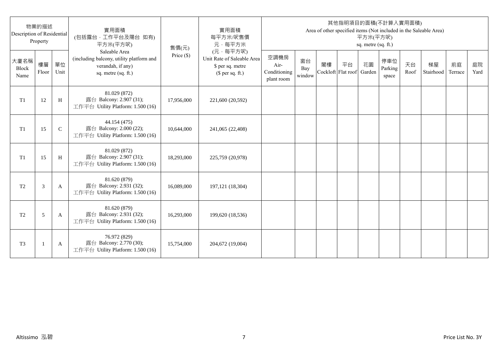| Description of Residential | 物業的描述<br>Property |               | 實用面積<br>(包括露台,工作平台及陽台 如有)<br>平方米(平方呎)                                                                 | 售價(元)      | 實用面積<br>每平方米/呎售價<br>元·每平方米                                                     |                                            |                     |    |                          | 平方米(平方呎)<br>sq. metre (sq. ft.) | 其他指明項目的面積(不計算入實用面積)     |            | Area of other specified items (Not included in the Saleable Area) |               |            |
|----------------------------|-------------------|---------------|-------------------------------------------------------------------------------------------------------|------------|--------------------------------------------------------------------------------|--------------------------------------------|---------------------|----|--------------------------|---------------------------------|-------------------------|------------|-------------------------------------------------------------------|---------------|------------|
| 大廈名稱<br>Block<br>Name      | 樓層<br>Floor       | 單位<br>Unit    | Saleable Area<br>(including balcony, utility platform and<br>verandah, if any)<br>sq. metre (sq. ft.) | Price (\$) | (元·每平方呎)<br>Unit Rate of Saleable Area<br>\$ per sq. metre<br>$$$ per sq. ft.) | 空調機房<br>Air-<br>Conditioning<br>plant room | 窗台<br>Bay<br>window | 閣樓 | 平台<br>Cockloft Flat roof | 花園<br>Garden                    | 停車位<br>Parking<br>space | 天台<br>Roof | 梯屋<br>Stairhood                                                   | 前庭<br>Terrace | 庭院<br>Yard |
| T1                         | 12                | H             | 81.029 (872)<br>露台 Balcony: 2.907 (31);<br>工作平台 Utility Platform: 1.500 (16)                          | 17,956,000 | 221,600 (20,592)                                                               |                                            |                     |    |                          |                                 |                         |            |                                                                   |               |            |
| T1                         | 15                | $\mathcal{C}$ | 44.154 (475)<br>露台 Balcony: 2.000 (22);<br>工作平台 Utility Platform: 1.500 (16)                          | 10,644,000 | 241,065 (22,408)                                                               |                                            |                     |    |                          |                                 |                         |            |                                                                   |               |            |
| T1                         | 15                | H             | 81.029 (872)<br>露台 Balcony: 2.907 (31);<br>工作平台 Utility Platform: 1.500 (16)                          | 18,293,000 | 225,759 (20,978)                                                               |                                            |                     |    |                          |                                 |                         |            |                                                                   |               |            |
| T <sub>2</sub>             | 3                 | A             | 81.620 (879)<br>露台 Balcony: 2.931 (32);<br>工作平台 Utility Platform: 1.500 (16)                          | 16,089,000 | 197, 121 (18, 304)                                                             |                                            |                     |    |                          |                                 |                         |            |                                                                   |               |            |
| T <sub>2</sub>             | 5                 | A             | 81.620 (879)<br>露台 Balcony: 2.931 (32);<br>工作平台 Utility Platform: 1.500 (16)                          | 16,293,000 | 199,620 (18,536)                                                               |                                            |                     |    |                          |                                 |                         |            |                                                                   |               |            |
| T <sub>3</sub>             |                   | A             | 76.972 (829)<br>露台 Balcony: 2.770 (30);<br>工作平台 Utility Platform: 1.500 (16)                          | 15,754,000 | 204,672 (19,004)                                                               |                                            |                     |    |                          |                                 |                         |            |                                                                   |               |            |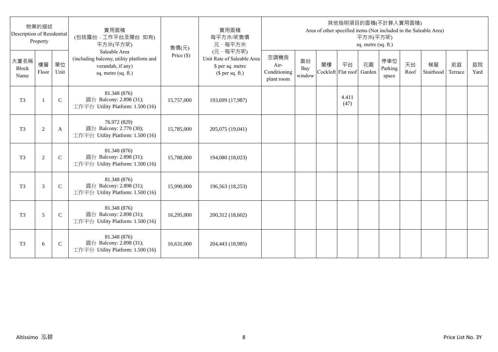| Description of Residential | 物業的描述<br>Property |              | 實用面積<br>(包括露台,工作平台及陽台 如有)<br>平方米(平方呎)                                                                 | 售價(元)      | 實用面積<br>每平方米/呎售價<br>元·每平方米                                                     |                                            |                     |                          |               | 平方米(平方呎)<br>sq. metre (sq. ft.) | 其他指明項目的面積(不計算入實用面積)     |            | Area of other specified items (Not included in the Saleable Area) |               |            |
|----------------------------|-------------------|--------------|-------------------------------------------------------------------------------------------------------|------------|--------------------------------------------------------------------------------|--------------------------------------------|---------------------|--------------------------|---------------|---------------------------------|-------------------------|------------|-------------------------------------------------------------------|---------------|------------|
| 大廈名稱<br>Block<br>Name      | 樓層<br>Floor       | 單位<br>Unit   | Saleable Area<br>(including balcony, utility platform and<br>verandah, if any)<br>sq. metre (sq. ft.) | Price (\$) | (元·每平方呎)<br>Unit Rate of Saleable Area<br>\$ per sq. metre<br>$$$ per sq. ft.) | 空調機房<br>Air-<br>Conditioning<br>plant room | 窗台<br>Bay<br>window | 閣樓<br>Cockloft Flat roof | 平台            | 花園<br>Garden                    | 停車位<br>Parking<br>space | 天台<br>Roof | 梯屋<br>Stairhood                                                   | 前庭<br>Terrace | 庭院<br>Yard |
| T <sub>3</sub>             | $\mathbf{1}$      | $\mathsf{C}$ | 81.348 (876)<br>露台 Balcony: 2.898 (31);<br>工作平台 Utility Platform: 1.500 (16)                          | 15,757,000 | 193,699 (17,987)                                                               |                                            |                     |                          | 4.411<br>(47) |                                 |                         |            |                                                                   |               |            |
| T <sub>3</sub>             | $\overline{c}$    | A            | 76.972 (829)<br>露台 Balcony: 2.770 (30);<br>工作平台 Utility Platform: 1.500 (16)                          | 15,785,000 | 205,075 (19,041)                                                               |                                            |                     |                          |               |                                 |                         |            |                                                                   |               |            |
| T <sub>3</sub>             | $\overline{c}$    | $\mathsf{C}$ | 81.348 (876)<br>露台 Balcony: 2.898 (31);<br>工作平台 Utility Platform: 1.500 (16)                          | 15,788,000 | 194,080 (18,023)                                                               |                                            |                     |                          |               |                                 |                         |            |                                                                   |               |            |
| T <sub>3</sub>             | 3                 | $\mathsf{C}$ | 81.348 (876)<br>露台 Balcony: 2.898 (31);<br>工作平台 Utility Platform: 1.500 (16)                          | 15,990,000 | 196,563 (18,253)                                                               |                                            |                     |                          |               |                                 |                         |            |                                                                   |               |            |
| T <sub>3</sub>             | 5                 | $\mathsf{C}$ | 81.348 (876)<br>露台 Balcony: 2.898 (31);<br>工作平台 Utility Platform: 1.500 (16)                          | 16,295,000 | 200,312 (18,602)                                                               |                                            |                     |                          |               |                                 |                         |            |                                                                   |               |            |
| T <sub>3</sub>             | 6                 | $\mathsf{C}$ | 81.348 (876)<br>露台 Balcony: 2.898 (31);<br>工作平台 Utility Platform: 1.500 (16)                          | 16,631,000 | 204,443 (18,985)                                                               |                                            |                     |                          |               |                                 |                         |            |                                                                   |               |            |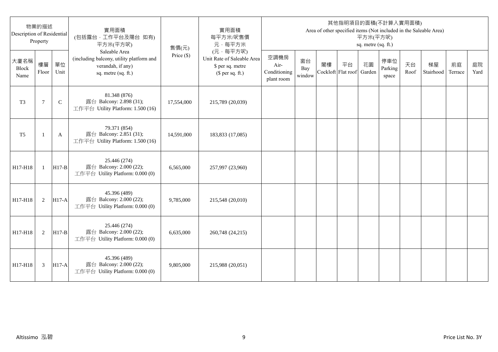| Description of Residential | 物業的描述<br>Property |              | 實用面積<br>(包括露台,工作平台及陽台 如有)<br>平方米(平方呎)                                                                 | 售價(元)        | 實用面積<br>每平方米/呎售價<br>元·每平方米                                                     |                                            |                     |                          |    | 平方米(平方呎)<br>sq. metre (sq. ft.) | 其他指明項目的面積(不計算入實用面積)     |            | Area of other specified items (Not included in the Saleable Area) |               |            |
|----------------------------|-------------------|--------------|-------------------------------------------------------------------------------------------------------|--------------|--------------------------------------------------------------------------------|--------------------------------------------|---------------------|--------------------------|----|---------------------------------|-------------------------|------------|-------------------------------------------------------------------|---------------|------------|
| 大廈名稱<br>Block<br>Name      | 樓層<br>Floor       | 單位<br>Unit   | Saleable Area<br>(including balcony, utility platform and<br>verandah, if any)<br>sq. metre (sq. ft.) | Price $(\$)$ | (元·每平方呎)<br>Unit Rate of Saleable Area<br>\$ per sq. metre<br>$$$ per sq. ft.) | 空調機房<br>Air-<br>Conditioning<br>plant room | 窗台<br>Bay<br>window | 閣樓<br>Cockloft Flat roof | 平台 | 花園<br>Garden                    | 停車位<br>Parking<br>space | 天台<br>Roof | 梯屋<br>Stairhood                                                   | 前庭<br>Terrace | 庭院<br>Yard |
| T <sub>3</sub>             | 7                 | $\mathsf{C}$ | 81.348 (876)<br>露台 Balcony: 2.898 (31);<br>工作平台 Utility Platform: 1.500 (16)                          | 17,554,000   | 215,789 (20,039)                                                               |                                            |                     |                          |    |                                 |                         |            |                                                                   |               |            |
| T <sub>5</sub>             | -1                | A            | 79.371 (854)<br>露台 Balcony: 2.851 (31);<br>工作平台 Utility Platform: 1.500 (16)                          | 14,591,000   | 183,833 (17,085)                                                               |                                            |                     |                          |    |                                 |                         |            |                                                                   |               |            |
| H17-H18                    | $\mathbf{1}$      | $H17-B$      | 25.446 (274)<br>露台 Balcony: 2.000 (22);<br>工作平台 Utility Platform: 0.000 (0)                           | 6,565,000    | 257,997 (23,960)                                                               |                                            |                     |                          |    |                                 |                         |            |                                                                   |               |            |
| H17-H18                    | 2                 | $H17-A$      | 45.396 (489)<br>露台 Balcony: 2.000 (22);<br>工作平台 Utility Platform: 0.000 (0)                           | 9,785,000    | 215,548 (20,010)                                                               |                                            |                     |                          |    |                                 |                         |            |                                                                   |               |            |
| H17-H18                    | 2                 | $H17-B$      | 25.446 (274)<br>露台 Balcony: 2.000 (22);<br>工作平台 Utility Platform: 0.000 (0)                           | 6,635,000    | 260,748 (24,215)                                                               |                                            |                     |                          |    |                                 |                         |            |                                                                   |               |            |
| H17-H18                    | 3                 | $H17-A$      | 45.396 (489)<br>露台 Balcony: 2.000 (22);<br>工作平台 Utility Platform: 0.000 (0)                           | 9,805,000    | 215,988 (20,051)                                                               |                                            |                     |                          |    |                                 |                         |            |                                                                   |               |            |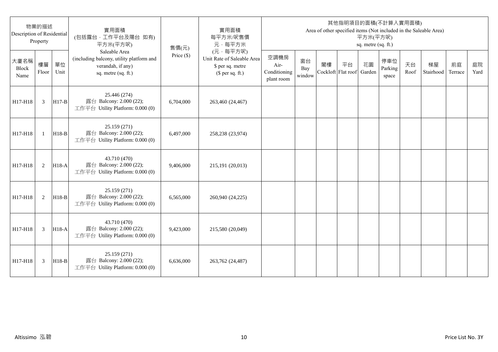| Description of Residential | 物業的描述<br>Property |            | 實用面積<br>(包括露台,工作平台及陽台 如有)<br>平方米(平方呎)                                                                 | 售價(元)        | 實用面積<br>每平方米/呎售價<br>元·每平方米                                                     |                                            |                     |                          |    | 平方米(平方呎)<br>sq. metre (sq. ft.) | 其他指明項目的面積(不計算入實用面積)     |            | Area of other specified items (Not included in the Saleable Area) |               |            |
|----------------------------|-------------------|------------|-------------------------------------------------------------------------------------------------------|--------------|--------------------------------------------------------------------------------|--------------------------------------------|---------------------|--------------------------|----|---------------------------------|-------------------------|------------|-------------------------------------------------------------------|---------------|------------|
| 大廈名稱<br>Block<br>Name      | 樓層<br>Floor       | 單位<br>Unit | Saleable Area<br>(including balcony, utility platform and<br>verandah, if any)<br>sq. metre (sq. ft.) | Price $(\$)$ | (元·每平方呎)<br>Unit Rate of Saleable Area<br>\$ per sq. metre<br>$$$ per sq. ft.) | 空調機房<br>Air-<br>Conditioning<br>plant room | 窗台<br>Bay<br>window | 閣樓<br>Cockloft Flat roof | 平台 | 花園<br>Garden                    | 停車位<br>Parking<br>space | 天台<br>Roof | 梯屋<br>Stairhood                                                   | 前庭<br>Terrace | 庭院<br>Yard |
| H17-H18                    | 3                 | $H17-B$    | 25.446 (274)<br>露台 Balcony: 2.000 (22);<br>工作平台 Utility Platform: 0.000 (0)                           | 6,704,000    | 263,460 (24,467)                                                               |                                            |                     |                          |    |                                 |                         |            |                                                                   |               |            |
| H17-H18                    | $\mathbf{1}$      | $H18-B$    | 25.159 (271)<br>露台 Balcony: 2.000 (22);<br>工作平台 Utility Platform: 0.000 (0)                           | 6,497,000    | 258,238 (23,974)                                                               |                                            |                     |                          |    |                                 |                         |            |                                                                   |               |            |
| H17-H18                    | 2                 | $H18-A$    | 43.710 (470)<br>露台 Balcony: 2.000 (22);<br>工作平台 Utility Platform: 0.000 (0)                           | 9,406,000    | 215,191 (20,013)                                                               |                                            |                     |                          |    |                                 |                         |            |                                                                   |               |            |
| H17-H18                    | 2                 | $H18-B$    | 25.159 (271)<br>露台 Balcony: 2.000 (22);<br>工作平台 Utility Platform: 0.000 (0)                           | 6,565,000    | 260,940 (24,225)                                                               |                                            |                     |                          |    |                                 |                         |            |                                                                   |               |            |
| H17-H18                    | 3                 | $H18-A$    | 43.710 (470)<br>露台 Balcony: 2.000 (22);<br>工作平台 Utility Platform: 0.000 (0)                           | 9,423,000    | 215,580 (20,049)                                                               |                                            |                     |                          |    |                                 |                         |            |                                                                   |               |            |
| H17-H18                    | 3                 | $H18-B$    | 25.159 (271)<br>露台 Balcony: 2.000 (22);<br>工作平台 Utility Platform: 0.000 (0)                           | 6,636,000    | 263,762 (24,487)                                                               |                                            |                     |                          |    |                                 |                         |            |                                                                   |               |            |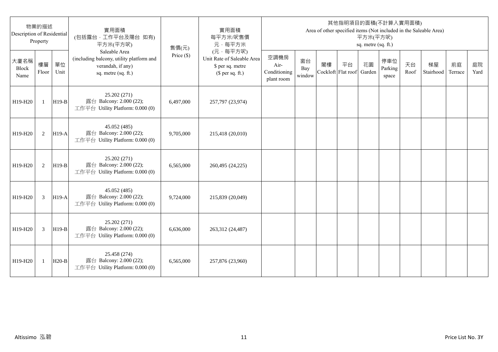| 物業的描述<br>Description of Residential<br>Property |              |            | 實用面積<br>(包括露台,工作平台及陽台 如有)<br>平方米(平方呎)                                                                 | 售價(元)      | 實用面積<br>每平方米/呎售價<br>元·每平方米                                                     | 其他指明項目的面積(不計算入實用面積)<br>Area of other specified items (Not included in the Saleable Area)<br>平方米(平方呎)<br>sq. metre (sq. ft.) |                     |                          |    |              |                         |            |                 |               |            |
|-------------------------------------------------|--------------|------------|-------------------------------------------------------------------------------------------------------|------------|--------------------------------------------------------------------------------|-----------------------------------------------------------------------------------------------------------------------------|---------------------|--------------------------|----|--------------|-------------------------|------------|-----------------|---------------|------------|
| 大廈名稱<br><b>Block</b><br>Name                    | 樓層<br>Floor  | 單位<br>Unit | Saleable Area<br>(including balcony, utility platform and<br>verandah, if any)<br>sq. metre (sq. ft.) | Price (\$) | (元·每平方呎)<br>Unit Rate of Saleable Area<br>\$ per sq. metre<br>$$$ per sq. ft.) | 空調機房<br>Air-<br>Conditioning<br>plant room                                                                                  | 窗台<br>Bay<br>window | 閣樓<br>Cockloft Flat roof | 平台 | 花園<br>Garden | 停車位<br>Parking<br>space | 天台<br>Roof | 梯屋<br>Stairhood | 前庭<br>Terrace | 庭院<br>Yard |
| H19-H20                                         | $\mathbf{1}$ | $H19-B$    | 25.202 (271)<br>露台 Balcony: 2.000 (22);<br>工作平台 Utility Platform: 0.000 (0)                           | 6,497,000  | 257,797 (23,974)                                                               |                                                                                                                             |                     |                          |    |              |                         |            |                 |               |            |
| H19-H20                                         | 2            | $H19-A$    | 45.052 (485)<br>露台 Balcony: 2.000 (22);<br>工作平台 Utility Platform: 0.000 (0)                           | 9,705,000  | 215,418 (20,010)                                                               |                                                                                                                             |                     |                          |    |              |                         |            |                 |               |            |
| H19-H20                                         | 2            | $H19-B$    | 25.202 (271)<br>露台 Balcony: 2.000 (22);<br>工作平台 Utility Platform: 0.000 (0)                           | 6,565,000  | 260,495 (24,225)                                                               |                                                                                                                             |                     |                          |    |              |                         |            |                 |               |            |
| H19-H20                                         | 3            | $H19-A$    | 45.052 (485)<br>露台 Balcony: 2.000 (22);<br>工作平台 Utility Platform: 0.000 (0)                           | 9,724,000  | 215,839 (20,049)                                                               |                                                                                                                             |                     |                          |    |              |                         |            |                 |               |            |
| H19-H20                                         | 3            | $H19-B$    | 25.202 (271)<br>露台 Balcony: 2.000 (22);<br>工作平台 Utility Platform: 0.000 (0)                           | 6,636,000  | 263,312 (24,487)                                                               |                                                                                                                             |                     |                          |    |              |                         |            |                 |               |            |
| H19-H20                                         | 1            | $H20-B$    | 25.458 (274)<br>露台 Balcony: 2.000 (22);<br>工作平台 Utility Platform: 0.000 (0)                           | 6,565,000  | 257,876 (23,960)                                                               |                                                                                                                             |                     |                          |    |              |                         |            |                 |               |            |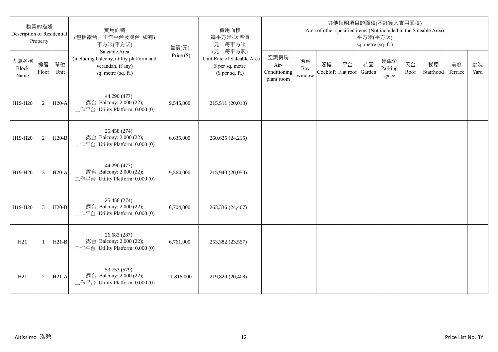| 物業的描述<br>Description of Residential<br>Property |                |            | 實用面積<br>(包括露台,工作平台及陽台 如有)<br>平方米(平方呎)                                                                 | 售價(元)        | 實用面積<br>每平方米/呎售價<br>元·每平方米                                                     | 其他指明項目的面積(不計算入實用面積)<br>Area of other specified items (Not included in the Saleable Area)<br>平方米(平方呎)<br>sq. metre (sq. ft.) |                     |                          |    |              |                         |            |                 |               |            |
|-------------------------------------------------|----------------|------------|-------------------------------------------------------------------------------------------------------|--------------|--------------------------------------------------------------------------------|-----------------------------------------------------------------------------------------------------------------------------|---------------------|--------------------------|----|--------------|-------------------------|------------|-----------------|---------------|------------|
| 大廈名稱<br>Block<br>Name                           | 樓層<br>Floor    | 單位<br>Unit | Saleable Area<br>(including balcony, utility platform and<br>verandah, if any)<br>sq. metre (sq. ft.) | Price $(\$)$ | (元·每平方呎)<br>Unit Rate of Saleable Area<br>\$ per sq. metre<br>$$$ per sq. ft.) | 空調機房<br>Air-<br>Conditioning<br>plant room                                                                                  | 窗台<br>Bay<br>window | 閣樓<br>Cockloft Flat roof | 平台 | 花園<br>Garden | 停車位<br>Parking<br>space | 天台<br>Roof | 梯屋<br>Stairhood | 前庭<br>Terrace | 庭院<br>Yard |
| H19-H20                                         | 2              | $H20-A$    | 44.290 (477)<br>露台 Balcony: 2.000 (22);<br>工作平台 Utility Platform: 0.000 (0)                           | 9,545,000    | 215,511 (20,010)                                                               |                                                                                                                             |                     |                          |    |              |                         |            |                 |               |            |
| H19-H20                                         | 2              | $H20-B$    | 25.458 (274)<br>露台 Balcony: 2.000 (22);<br>工作平台 Utility Platform: 0.000 (0)                           | 6,635,000    | 260,625 (24,215)                                                               |                                                                                                                             |                     |                          |    |              |                         |            |                 |               |            |
| H19-H20                                         | 3              | $H20-A$    | 44.290 (477)<br>露台 Balcony: 2.000 (22);<br>工作平台 Utility Platform: 0.000 (0)                           | 9,564,000    | 215,940 (20,050)                                                               |                                                                                                                             |                     |                          |    |              |                         |            |                 |               |            |
| H19-H20                                         | $\overline{3}$ | $H20-B$    | 25.458 (274)<br>露台 Balcony: 2.000 (22);<br>工作平台 Utility Platform: 0.000 (0)                           | 6,704,000    | 263,336 (24,467)                                                               |                                                                                                                             |                     |                          |    |              |                         |            |                 |               |            |
| H21                                             | $\mathbf{1}$   | $H21-B$    | 26.683 (287)<br>露台 Balcony: 2.000 (22);<br>工作平台 Utility Platform: 0.000 (0)                           | 6,761,000    | 253,382 (23,557)                                                               |                                                                                                                             |                     |                          |    |              |                         |            |                 |               |            |
| H21                                             | 2              | $H21-A$    | 53.753 (579)<br>露台 Balcony: 2.000 (22);<br>工作平台 Utility Platform: 0.000 (0)                           | 11,816,000   | 219,820 (20,408)                                                               |                                                                                                                             |                     |                          |    |              |                         |            |                 |               |            |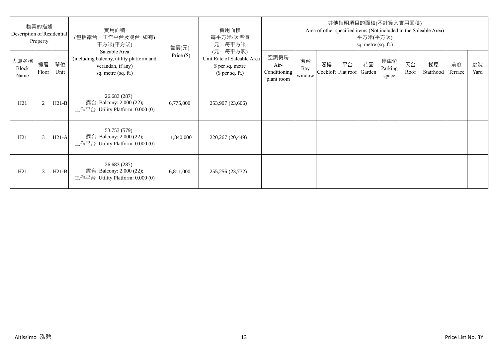| 物業的描述<br>Description of Residential<br>Property |             |            | 實用面積<br>(包括露台·工作平台及陽台 如有)<br>平方米(平方呎)                                                                 | 售價(元)        | 實用面積<br>每平方米/呎售價<br>元·每平方米                                                     | 其他指明項目的面積(不計算入實用面積)<br>Area of other specified items (Not included in the Saleable Area)<br>平方米(平方呎)<br>sq. metre (sq. ft.) |                     |    |                                 |    |                         |            |                 |               |            |
|-------------------------------------------------|-------------|------------|-------------------------------------------------------------------------------------------------------|--------------|--------------------------------------------------------------------------------|-----------------------------------------------------------------------------------------------------------------------------|---------------------|----|---------------------------------|----|-------------------------|------------|-----------------|---------------|------------|
| 大廈名稱<br>Block<br>Name                           | 樓層<br>Floor | 單位<br>Unit | Saleable Area<br>(including balcony, utility platform and<br>verandah, if any)<br>sq. metre (sq. ft.) | Price $(\$)$ | (元·每平方呎)<br>Unit Rate of Saleable Area<br>\$ per sq. metre<br>$$$ per sq. ft.) | 空調機房<br>Air-<br>Conditioning<br>plant room                                                                                  | 窗台<br>Bay<br>window | 閣樓 | 平台<br>Cockloft Flat roof Garden | 花園 | 停車位<br>Parking<br>space | 天台<br>Roof | 梯屋<br>Stairhood | 前庭<br>Terrace | 庭院<br>Yard |
| H21                                             | 2           | $H21-B$    | 26.683 (287)<br>露台 Balcony: 2.000 (22);<br>工作平台 Utility Platform: $0.000(0)$                          | 6,775,000    | 253,907 (23,606)                                                               |                                                                                                                             |                     |    |                                 |    |                         |            |                 |               |            |
| H21                                             | 3           | $H21-A$    | 53.753 (579)<br>露台 Balcony: 2.000 (22);<br>工作平台 Utility Platform: 0.000 (0)                           | 11,840,000   | 220,267 (20,449)                                                               |                                                                                                                             |                     |    |                                 |    |                         |            |                 |               |            |
| H21                                             | 3           | $H21-B$    | 26.683 (287)<br>露台 Balcony: 2.000 (22);<br>工作平台 Utility Platform: $0.000(0)$                          | 6,811,000    | 255,256 (23,732)                                                               |                                                                                                                             |                     |    |                                 |    |                         |            |                 |               |            |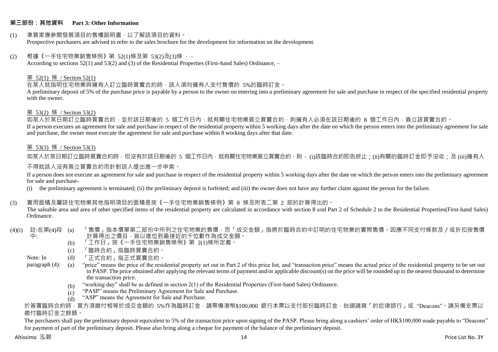# **第三部份:其他資料 Part 3: Other Information**

#### (1) 準買家應參閱發展項目的售樓說明書,以了解該項目的資料。 Prospective purchasers are advised to refer to the sales brochure for the development for information on the development.

#### $(2)$  根據《一手住宅物業銷售條例》第 52(1)條及第 53(2)及(3)條,

According to sections 52(1) and 53(2) and (3) of the Residential Properties (First-hand Sales) Ordinance, –

#### 第 52(1) 條 / Section 52(1)

在某人就指明住宅物業與擁有人訂立臨時買賣合約時,該人須向擁有人支付售價的 5%的臨時訂金。

A preliminary deposit of 5% of the purchase price is payable by a person to the owner on entering into a preliminary agreement for sale and purchase in respect of the specified residential property with the owner.

#### 第 53(2) 條 / Section 53(2)

如某人於某日期訂立臨時買賣合約,並於該日期後的 5 個工作日內,就有關住宅物業簽立買賣合約,則擁有人必須在該日期後的 8 個工作日內,簽立該買賣合約。 If a person executes an agreement for sale and purchase in respect of the residential property within 5 working days after the date on which the person enters into the preliminary agreement for sale and purchase, the owner must execute the agreement for sale and purchase within 8 working days after that date.

# 第 53(3) 條 / Section 53(3)

如某人於某日期訂立臨時買賣合約時,但沒有於該日期後的 5 個工作日內,就有關住宅物業簽立買賣合約,則 – (i)該臨時合約即告終止;(ji)有關的臨時訂金即予沒收;及 (iii)擁有人

# 不得就該人沒有簽立買賣合約而針對該人提出進一步申索。

If a person does not execute an agreement for sale and purchase in respect of the residential property within 5 working days after the date on which the person enters into the preliminary agreement for sale and purchase-

(i) the preliminary agreement is terminated; (ii) the preliminary deposit is forfeited; and (iii) the owner does not have any further claim against the person for the failure.

# (3) 實用面積及屬該住宅物業其他指明項目的面積是按《一手住宅物業銷售條例》第 8 條及附表二第 2 部的計算得出的。

The saleable area and area of other specified items of the residential property are calculated in accordance with section 8 and Part 2 of Schedule 2 to the Residential Properties(First-hand Sales) Ordinance.

#### (4)(i) 註:在第(4)段 中: 「售價」指本價單第二部份中所列之住宅物業的售價,而「成交金額」指將於臨時合約中訂明的住宅物業的實際售價。因應不同支付條款及/或折扣按售價 計算得出之價目,皆以進位到最接近的千位數作為成交金額。

- (b) 「工作日」按《一手住宅物業銷售條例》第 2(1)條所定義。
- (c) 「臨時合約」指臨時買賣合約。
- Note: In (d) 「正式合約」指正式買賣合約。

paragraph (4): (a) "price" means the price of the residential property set out in Part 2 of this price list, and "transaction price" means the actual price of the residential property to be set out in PASP. The price obtained after applying the relevant terms of payment and/or applicable discount(s) on the price will be rounded up to the nearest thousand to determine the transaction price.

- (b) "working day" shall be as defined in section 2(1) of the Residential Properties (First-hand Sales) Ordinance.
- $(c)$ "PASP" means the Preliminary Agreement for Sale and Purchase.
- $(d)$ "ASP" means the Agreement for Sale and Purchase.

於簽署臨時合約時,買方須繳付相等於成交金額的 5%作為臨時訂金,請帶備港幣\$100,000 銀行本票以支付部份臨時訂金,抬頭請寫「的近律師行」或"Deacons"。請另備支票以 繳付臨時訂金之餘額。

The purchasers shall pay the preliminary deposit equivalent to 5% of the transaction price upon signing of the PASP. Please bring along a cashiers' order of HK\$100,000 made payable to "Deacons" for payment of part of the preliminary deposit. Please also bring along a cheque for payment of the balance of the preliminary deposit.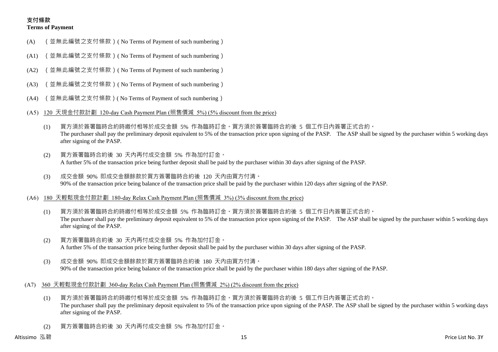# **支付條款 Terms of Payment**

- (A) (並無此編號之支付條款)( No Terms of Payment of such numbering)
- (A1) (並無此編號之支付條款)( No Terms of Payment of such numbering)
- (A2) (並無此編號之支付條款)( No Terms of Payment of such numbering)
- (A3) (並無此編號之支付條款)( No Terms of Payment of such numbering)
- (A4) (並無此編號之支付條款)( No Terms of Payment of such numbering)
- (A5) 120 天現金付款計劃 120-day Cash Payment Plan (照售價減 5%) (5% discount from the price)
	- (1) 買方須於簽署臨時合約時繳付相等於成交金額 5% 作為臨時訂金。買方須於簽署臨時合約後 5 個工作日內簽署正式合約。 The purchaser shall pay the preliminary deposit equivalent to 5% of the transaction price upon signing of the PASP. The ASP shall be signed by the purchaser within 5 working days after signing of the PASP.
	- (2) 買方簽署臨時合約後 30 天內再付成交金額 5% 作為加付訂金。 A further 5% of the transaction price being further deposit shall be paid by the purchaser within 30 days after signing of the PASP.
	- (3) 成交金額 90% 即成交金額餘款於買方簽署臨時合約後 120 天內由買方付清。 90% of the transaction price being balance of the transaction price shall be paid by the purchaser within 120 days after signing of the PASP.
- (A6) 180 天輕鬆現金付款計劃 180-day Relax Cash Payment Plan (照售價減 3%) (3% discount from the price)
	- (1) 買方須於簽署臨時合約時繳付相等於成交金額 5% 作為臨時訂金。買方須於簽署臨時合約後 5 個工作日內簽署正式合約。 The purchaser shall pay the preliminary deposit equivalent to 5% of the transaction price upon signing of the PASP. The ASP shall be signed by the purchaser within 5 working days after signing of the PASP.
	- (2) 買方簽署臨時合約後 30 天內再付成交金額 5% 作為加付訂金。 A further 5% of the transaction price being further deposit shall be paid by the purchaser within 30 days after signing of the PASP.
	- (3) 成交金額 90% 即成交金額餘款於買方簽署臨時合約後 180 天內由買方付清。 90% of the transaction price being balance of the transaction price shall be paid by the purchaser within 180 days after signing of the PASP.
- (A7) 360 天輕鬆現金付款計劃 360-day Relax Cash Payment Plan (照售價減 2%) (2% discount from the price)
	- (1) 買方須於簽署臨時合約時繳付相等於成交金額 5% 作為臨時訂金。買方須於簽署臨時合約後 5 個工作日內簽署正式合約。 The purchaser shall pay the preliminary deposit equivalent to 5% of the transaction price upon signing of the PASP. The ASP shall be signed by the purchaser within 5 working days after signing of the PASP.
	- (2) 買方簽署臨時合約後 30 天內再付成交金額 5% 作為加付訂金。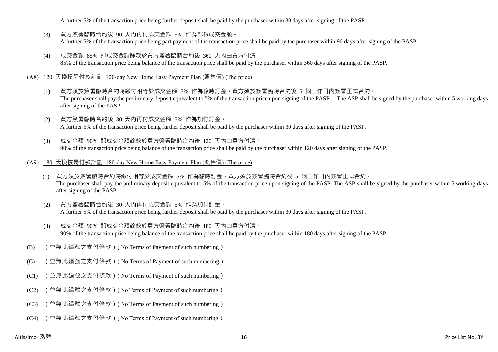A further 5% of the transaction price being further deposit shall be paid by the purchaser within 30 days after signing of the PASP.

- (3) 買方簽署臨時合約後 90 天內再付成交金額 5% 作為部份成交金額。 A further 5% of the transaction price being part payment of the transaction price shall be paid by the purchaser within 90 days after signing of the PASP.
- (4) 成交金額 85% 即成交金額餘款於買方簽署臨時合約後 360 天內由買方付清。 85% of the transaction price being balance of the transaction price shall be paid by the purchaser within 360 days after signing of the PASP.

#### (A8) 120 天換樓易付款計劃 120-day New Home Easy Payment Plan (照售價) (The price)

- (1) 買方須於簽署臨時合約時繳付相等於成交金額 5% 作為臨時訂金。買方須於簽署臨時合約後 5 個工作日內簽署正式合約。 The purchaser shall pay the preliminary deposit equivalent to 5% of the transaction price upon signing of the PASP. The ASP shall be signed by the purchaser within 5 working days after signing of the PASP.
- (2) 買方簽署臨時合約後 30 天內再付成交金額 5% 作為加付訂金。 A further 5% of the transaction price being further deposit shall be paid by the purchaser within 30 days after signing of the PASP.
- (3) 成交金額 90% 即成交金額餘款於買方簽署臨時合約後 120 天內由買方付清。 90% of the transaction price being balance of the transaction price shall be paid by the purchaser within 120 days after signing of the PASP.

# (A9) 180 天換樓易付款計劃 180-day New Home Easy Payment Plan (照售價) (The price)

- (1) 買方須於簽署臨時合約時繳付相等於成交金額 5% 作為臨時訂金。買方須於簽署臨時合約後 5 個工作日內簽署正式合約。 The purchaser shall pay the preliminary deposit equivalent to 5% of the transaction price upon signing of the PASP. The ASP shall be signed by the purchaser within 5 working days after signing of the PASP.
- (2) 買方簽署臨時合約後 30 天內再付成交金額 5% 作為加付訂金。 A further 5% of the transaction price being further deposit shall be paid by the purchaser within 30 days after signing of the PASP.
- (3) 成交金額 90% 即成交金額餘款於買方簽署臨時合約後 180 天內由買方付清。 90% of the transaction price being balance of the transaction price shall be paid by the purchaser within 180 days after signing of the PASP.
- (B) (並無此編號之支付條款)( No Terms of Payment of such numbering)
- (C) (並無此編號之支付條款)( No Terms of Payment of such numbering)
- (C1) (並無此編號之支付條款)( No Terms of Payment of such numbering)
- (C2) (並無此編號之支付條款)( No Terms of Payment of such numbering)
- (C3) (並無此編號之支付條款)( No Terms of Payment of such numbering)
- (C4) (並無此編號之支付條款)( No Terms of Payment of such numbering)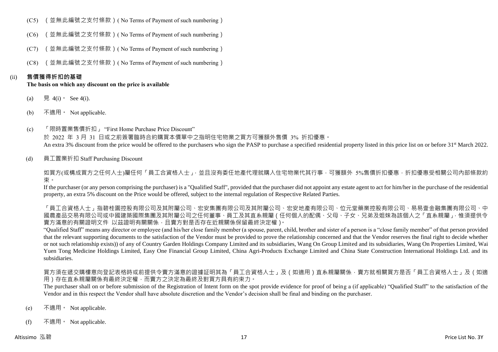- (C5) (並無此編號之支付條款)( No Terms of Payment of such numbering)
- (C6) (並無此編號之支付條款)( No Terms of Payment of such numbering)
- (C7) (並無此編號之支付條款)( No Terms of Payment of such numbering)
- (C8) (並無此編號之支付條款)( No Terms of Payment of such numbering)

# (ii) **售價獲得折扣的基礎**

#### **The basis on which any discount on the price is available**

- (a) 見 4(i) See 4(i).
- (b) 不適用。 Not applicable.
- (c) 「限時置業售價折扣」 "First Home Purchase Price Discount" 於 2022 年 3 月 31 日或之前簽署臨時合約購買本價單中之指明住宅物業之買方可獲額外售價 3% 折扣優惠。 An extra 3% discount from the price would be offered to the purchasers who sign the PASP to purchase a specified residential property listed in this price list on or before 31<sup>st</sup> March 2022.
- (d) 員工置業折扣 Staff Purchasing Discount

如買方(或構成買方之任何人士)屬任何「員工合資格人士」,並且沒有委任地產代理就購入住宅物業代其行事,可獲額外 5%售價折扣優惠,折扣優惠受相關公司內部條款約 束。

If the purchaser (or any person comprising the purchaser) is a "Qualified Staff", provided that the purchaser did not appoint any estate agent to act for him/her in the purchase of the residential property, an extra 5% discount on the Price would be offered, subject to the internal regulation of Respective Related Parties.

「員工合資格人士」指碧桂園控股有限公司及其附屬公司、宏安集團有限公司及其附屬公司、宏安地產有限公司、位元堂藥業控股有限公司、易易壹金融集團有限公司、中 國農產品交易有限公司或中國建築國際集團及其附屬公司之任何董事、員工及其直系親屬(任何個人的配偶、父母、子女、兄弟及姐妹為該個人之「直系親屬」,惟須提供令 賣方滿意的有關證明文件 以茲證明有關關係,且賣方對是否存在近親關係保留最終決定權)。

"Qualified Staff" means any director or employee (and his/her close family member (a spouse, parent, child, brother and sister of a person is a "close family member" of that person provided that the relevant supporting documents to the satisfaction of the Vendor must be provided to prove the relationship concerned and that the Vendor reserves the final right to decide whether or not such relationship exists)) of any of Country Garden Holdings Company Limited and its subsidiaries, Wang On Group Limited and its subsidiaries, Wang On Properties Limited, Wai Yuen Tong Medicine Holdings Limited, Easy One Financial Group Limited, China Agri-Products Exchange Limited and China State Construction International Holdings Ltd. and its subsidiaries.

買方須在遞交購樓意向登記表格時或前提供令賣方滿意的證據証明其為「員工合資格人士」及(如適用)直系親屬關係,賣方就相關買方是否「員工合資格人士」及(如適 用)存在直系親屬關係有最終決定權,而賣方之決定為最終及對買方具有約束力。

The purchaser shall on or before submission of the Registration of Intent form on the spot provide evidence for proof of being a (if applicable) "Qualified Staff" to the satisfaction of the Vendor and in this respect the Vendor shall have absolute discretion and the Vendor's decision shall be final and binding on the purchaser.

- (e) 不適用。 Not applicable.
- (f) 不適用。 Not applicable.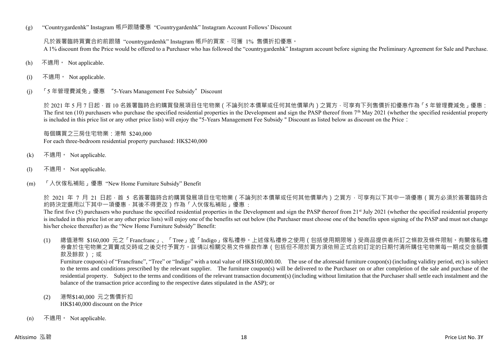(g) "Countrygardenhk" Instagram 帳戶跟隨優惠 "Countrygardenhk" Instagram Account Follows' Discount

凡於簽署臨時買賣合約前跟隨 "countrygardenhk" Instagram 帳戶的買家,可獲 1% 售價折扣優惠。 A 1% discount from the Price would be offered to a Purchaser who has followed the "countrygardenhk" Instagram account before signing the Preliminary Agreement for Sale and Purchase.

- (h) 不適用。 Not applicable.
- (i) 不適用。 Not applicable.
- (j) 「5 年管理費減免」優惠 "5-Years Management Fee Subsidy"Discount

於 2021 年 5 月 7 日起, 首 10 名簽署臨時合約購買發展項目住宅物業 ( 不論列於本價單或任何其他價單內 ) 之買方, 可享有下列售價折扣優惠作為 「5 年管理費減免」優惠: The first ten  $(10)$  purchasers who purchase the specified residential properties in the Development and sign the PASP thereof from  $7<sup>th</sup>$  May 2021 (whether the specified residential property is included in this price list or any other price lists) will enjoy the "5-Years Management Fee Subsidy " Discount as listed below as discount on the Price:

每個購買之三房住宅物業:港幣 \$240,000 For each three-bedroom residential property purchased: HK\$240,000

- (k) 不適用。 Not applicable.
- (l) 不適用。 Not applicable.
- (m) 「入伙傢私補貼」優惠 "New Home Furniture Subsidy" Benefit

於 2021 年 7 月 21 日起,首 5 名簽署臨時合約購買發展項目住宅物業 ( 不論列於本價單或任何其他價單內 ) 之買方,可享有以下其中一項優惠 ( 買方必須於簽署臨時合 約時決定選用以下其中一項優惠,其後不得更改)作為「入伙傢私補貼」優惠:

The first five (5) purchasers who purchase the specified residential properties in the Development and sign the PASP thereof from 21<sup>st</sup> July 2021 (whether the specified residential property is included in this price list or any other price lists) will enjoy one of the benefits set out below (the Purchaser must choose one of the benefits upon signing of the PASP and must not change his/her choice thereafter) as the "New Home Furniture Subsidy" Benefit:

(1) 總值港幣 \$160,000 元之「Francfranc」、「Tree」或「Indigo」傢私禮券。上述傢私禮券之使用(包括使用期限等)受商品提供者所訂之條款及條件限制。有關傢私禮 券會於住宅物業之買賣成交時或之後交付予買方。詳情以相關交易文件條款作準(包括但不限於買方須依照正式合約訂定的日期付清所購住宅物業每一期成交金額價 款及餘款);或

Furniture coupon(s) of "Francfranc", "Tree" or "Indigo" with a total value of HK\$160,000.00. The use of the aforesaid furniture coupon(s) (including validity period, etc) is subject to the terms and conditions prescribed by the relevant supplier. The furniture coupon(s) will be delivered to the Purchaser on or after completion of the sale and purchase of the residential property. Subject to the terms and conditions of the relevant transaction document(s) (including without limitation that the Purchaser shall settle each instalment and the balance of the transaction price according to the respective dates stipulated in the ASP); or

- (2) 港幣\$140,000 元之售價折扣 HK\$140,000 discount on the Price
- (n) 不適用。 Not applicable.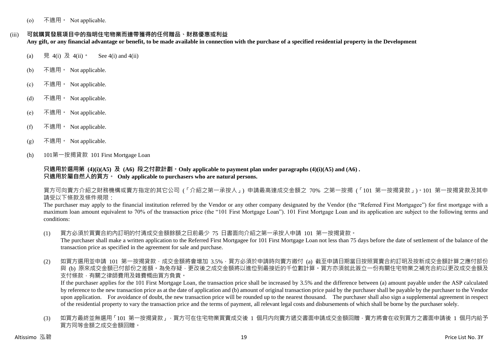(o) 不適用。 Not applicable.

(iii) **可就購買發展項目中的指明住宅物業而連帶獲得的任何贈品、財務優惠或利益**

**Any gift, or any financial advantage or benefit, to be made available in connection with the purchase of a specified residential property in the Development**

- (a) 見 4(i) 及 4(ii)。 See 4(i) and 4(ii)
- (b) 不適用。 Not applicable.
- (c) 不適用。 Not applicable.
- (d) 不適用。 Not applicable.
- (e) 不適用。 Not applicable.
- (f) 不適用。 Not applicable.
- $(g)$  不適用 · Not applicable.
- (h) 101第一按揭貸款 101 First Mortgage Loan

**只適用於選用第 (4)(i)(A5) 及 (A6) 段之付款計劃。Only applicable to payment plan under paragraphs (4)(i)(A5) and (A6) . 只適用於屬自然人的買方。 Only applicable to purchasers who are natural persons.**

買方可向賣方介紹之財務機構或賣方指定的其它公司 (「介紹之第一承按人」) 申請最高達成交金額之 70% 之第一按揭 (「101 第一按揭貸款」)。101 第一按揭貸款及其申 請受以下條款及條件規限:

The purchaser may apply to the financial institution referred by the Vendor or any other company designated by the Vendor (the "Referred First Mortgagee") for first mortgage with a maximum loan amount equivalent to 70% of the transaction price (the "101 First Mortgage Loan"). 101 First Mortgage Loan and its application are subject to the following terms and conditions:

- (1) 買方必須於買賣合約內訂明的付清成交金額餘額之日前最少 75 日書面向介紹之第一承按人申請 101 第一按揭貸款。 The purchaser shall make a written application to the Referred First Mortgagee for 101 First Mortgage Loan not less than 75 days before the date of settlement of the balance of the transaction price as specified in the agreement for sale and purchase.
- (2) 如買方選用並申請 101 第一按揭貸款,成交金額將會增加 3.5%,買方必須於申請時向賣方繳付 (a) 截至申請日期當日按照買賣合約訂明及按新成交金額計算之應付部份 與 (b) 原來成交金額已付部份之差額。為免存疑,更改後之成交金額將以進位到最接近的千位數計算。買方亦須就此簽立一份有關住宅物業之補充合約以更改成交金額及 支付條款,有關之律師費用及雜費概由買方負責。

If the purchaser applies for the 101 First Mortgage Loan, the transaction price shall be increased by 3.5% and the difference between (a) amount payable under the ASP calculated by reference to the new transaction price as at the date of application and (b) amount of original transaction price paid by the purchaser shall be payable by the purchaser to the Vendor upon application. For avoidance of doubt, the new transaction price will be rounded up to the nearest thousand. The purchaser shall also sign a supplemental agreement in respect of the residential property to vary the transaction price and the terms of payment, all relevant legal costs and disbursements of which shall be borne by the purchaser solely.

(3) 如買方最終並無選用「101 第一按揭貸款」,買方可在住宅物業買賣成交後 1 個月内向賣方遞交書面申請成交金額回贈,賣方將會在收到買方之書面申請後 1 個月内給予 買方同等金額之成交金額回贈。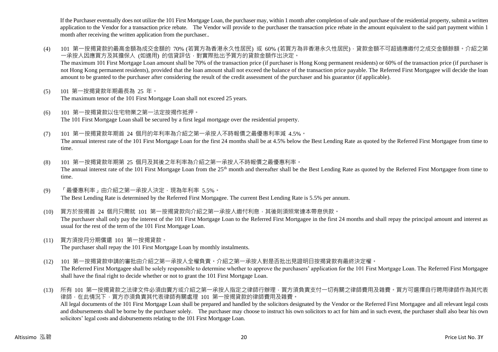If the Purchaser eventually does not utilize the 101 First Mortgage Loan, the purchaser may, within 1 month after completion of sale and purchase of the residential property, submit a written application to the Vendor for a transaction price rebate. The Vendor will provide to the purchaser the transaction price rebate in the amount equivalent to the said part payment within 1 month after receiving the written application from the purchaser..

- (4) 101 第一按揭貸款的最高金額為成交金額的 70% (若買方為香港永久性居民) 或 60% (若買方為非香港永久性居民) · 貸款金額不可超過應繳付之成交金額餘額。介紹之第 一承按人因應買方及其擔保人 (如適用) 的信貸評估,對實際批出予買方的貸款金額作出決定。 The maximum 101 First Mortgage Loan amount shall be 70% of the transaction price (if purchaser is Hong Kong permanent residents) or 60% of the transaction price (if purchaser is not Hong Kong permanent residents), provided that the loan amount shall not exceed the balance of the transaction price payable. The Referred First Mortgagee will decide the loan amount to be granted to the purchaser after considering the result of the credit assessment of the purchaser and his guarantor (if applicable).
- (5) 101 第一按揭貸款年期最長為 25 年。 The maximum tenor of the 101 First Mortgage Loan shall not exceed 25 years.
- (6) 101 第一按揭貸款以住宅物業之第一法定按揭作抵押。 The 101 First Mortgage Loan shall be secured by a first legal mortgage over the residential property.
- (7) 101 第一按揭貸款年期首 24 個月的年利率為介紹之第一承按人不時報價之最優惠利率減 4.5%。 The annual interest rate of the 101 First Mortgage Loan for the first 24 months shall be at 4.5% below the Best Lending Rate as quoted by the Referred First Mortgagee from time to time.
- (8) 101 第一按揭貸款年期第 25 個月及其後之年利率為介紹之第一承按人不時報價之最優惠利率。 The annual interest rate of the 101 First Mortgage Loan from the 25<sup>th</sup> month and thereafter shall be the Best Lending Rate as quoted by the Referred First Mortgagee from time to time.
- (9) 「最優惠利率」由介紹之第一承按人決定,現為年利率 5.5%。 The Best Lending Rate is determined by the Referred First Mortgagee. The current Best Lending Rate is 5.5% per annum.
- (10) 買方於按揭首 24 個月只需就 101 第一按揭貸款向介紹之第一承按人繳付利息,其後則須照常連本帶息供款。 The purchaser shall only pay the interest of the 101 First Mortgage Loan to the Referred First Mortgagee in the first 24 months and shall repay the principal amount and interest as usual for the rest of the term of the 101 First Mortgage Loan.
- (11) 買方須按月分期償還 101 第一按揭貸款。 The purchaser shall repay the 101 First Mortgage Loan by monthly instalments.
- (12) 101 第一按揭貸款申請的審批由介紹之第一承按人全權負責。介紹之第一承按人對是否批出見證明日按揭貸款有最終決定權。 The Referred First Mortgagee shall be solely responsible to determine whether to approve the purchasers' application for the 101 First Mortgage Loan. The Referred First Mortgagee shall have the final right to decide whether or not to grant the 101 First Mortgage Loan.
- (13) 所有 101 第一按揭貸款之法律文件必須由賣方或介紹之第一承按人指定之律師行辦理,買方須負責支付一切有關之律師費用及雜費。買方可選擇自行聘用律師作為其代表 律師,在此情況下,買方亦須負責其代表律師有關處理 101 第一按揭貸款的律師費用及雜費。 All legal documents of the 101 First Mortgage Loan shall be prepared and handled by the solicitors designated by the Vendor or the Referred First Mortgagee and all relevant legal costs and disbursements shall be borne by the purchaser solely. The purchaser may choose to instruct his own solicitors to act for him and in such event, the purchaser shall also bear his own solicitors' legal costs and disbursements relating to the 101 First Mortgage Loan.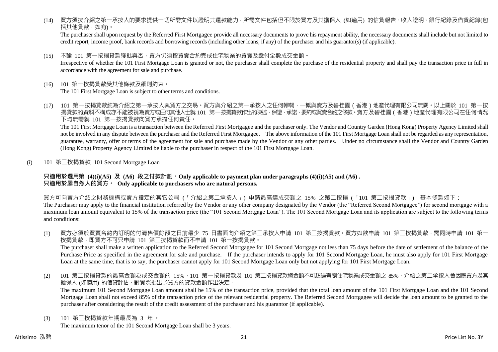(14) 買方須按介紹之第一承按人的要求提供一切所需文件以證明其還款能力,所需文件包括但不限於買方及其擔保人 (如適用) 的信貸報告、收入證明、銀行紀錄及借貸紀錄(包 括其他貸款,如有)。

The purchaser shall upon request by the Referred First Mortgagee provide all necessary documents to prove his repayment ability, the necessary documents shall include but not limited to credit report, income proof, bank records and borrowing records (including other loans, if any) of the purchaser and his guarantor(s) (if applicable).

(15) 不論 101 第一按揭貸款獲批與否,買方仍須按買賣合約完成住宅物業的買賣及繳付全數成交金額。

Irrespective of whether the 101 First Mortgage Loan is granted or not, the purchaser shall complete the purchase of the residential property and shall pay the transaction price in full in accordance with the agreement for sale and purchase.

- (16) 101 第一按揭貸款受其他條款及細則約束。 The 101 First Mortgage Loan is subject to other terms and conditions.
- (17) 101 第一按揭貸款純為介紹之第一承按人與買方之交易。買方與介紹之第一承按人之任何轇輵,一概與賣方及碧桂園(香港)地產代理有限公司無關。以上關於 101 第一按 揭貸款的資料不構成亦不能被視為賣方或任何其他人士就 101 第一按揭貸款作出的陳述、保證、承諾、要約或買賣合約之條款。賣方及碧桂園(香港)地產代理有限公司在任何情況 下均無需就 101 第一按揭貸款向買方承擔任何責任。

The 101 First Mortgage Loan is a transaction between the Referred First Mortgagee and the purchaser only. The Vendor and Country Garden (Hong Kong) Property Agency Limited shall not be involved in any dispute between the purchaser and the Referred First Mortgagee. The above information of the 101 First Mortgage Loan shall not be regarded as any representation, guarantee, warranty, offer or terms of the agreement for sale and purchase made by the Vendor or any other parties. Under no circumstance shall the Vendor and Country Garden (Hong Kong) Property Agency Limited be liable to the purchaser in respect of the 101 First Mortgage Loan.

(i) 101 第二按揭貸款 101 Second Mortgage Loan

# **只適用於選用第 (4)(i)(A5) 及 (A6) 段之付款計劃。Only applicable to payment plan under paragraphs (4)(i)(A5) and (A6) . 只適用於屬自然人的買方。 Only applicable to purchasers who are natural persons.**

買方可向賣方介紹之財務機構或賣方指定的其它公司 (「介紹之第二承按人」) 申請最高達成交額之 15% 之第二按揭 (「101 第二按揭貸款」),基本條款如下: The Purchaser may apply to the financial institution referred by the Vendor or any other company designated by the Vendor (the "Referred Second Mortgagee") for second mortgage with a maximum loan amount equivalent to 15% of the transaction price (the "101 Second Mortgage Loan"). The 101 Second Mortgage Loan and its application are subject to the following terms and conditions:

(1) 買方必須於買賣合約內訂明的付清售價餘額之日前最少 75 日書面向介紹之第二承按人申請 101 第二按揭貸款。買方如欲申請 101 第二按揭貸款,需同時申請 101 第一 按揭貸款,即買方不可只申請 101 第二按揭貸款而不申請 101 第一按揭貸款。

The purchaser shall make a written application to the Referred Second Mortgagee for 101 Second Mortgage not less than 75 days before the date of settlement of the balance of the Purchase Price as specified in the agreement for sale and purchase. If the purchaser intends to apply for 101 Second Mortgage Loan, he must also apply for 101 First Mortgage Loan at the same time, that is to say, the purchaser cannot apply for 101 Second Mortgage Loan only but not applying for 101 First Mortgage Loan.

(2) 101 第二按揭貸款的最高金額為成交金額的 15%,101 第一按揭貸款及 101 第二按揭貸款總金額不可超過有關住宅物業成交金額之 85%。介紹之第二承按人會因應買方及其 擔保人 (如適用) 的信貸評估,對實際批出予買方的貸款金額作出決定。

The maximum 101 Second Mortgage Loan amount shall be 15% of the transaction price, provided that the total loan amount of the 101 First Mortgage Loan and the 101 Second Mortgage Loan shall not exceed 85% of the transaction price of the relevant residential property. The Referred Second Mortgagee will decide the loan amount to be granted to the purchaser after considering the result of the credit assessment of the purchaser and his guarantor (if applicable).

(3) 101 第二按揭貸款年期最長為 3 年。

The maximum tenor of the 101 Second Mortgage Loan shall be 3 years.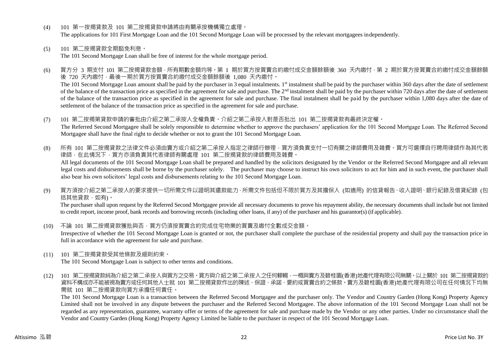- (4) 101 第一按揭貸款及 101 第二按揭貸款申請將由有關承按機構獨立處理。 The applications for 101 First Mortgage Loan and the 101 Second Mortgage Loan will be processed by the relevant mortgagees independently.
- (5) 101 第二按揭貸款全期豁免利息。

The 101 Second Mortgage Loan shall be free of interest for the whole mortgage period.

- (6) 買方分 3 期支付 101 第二按揭貸款金額,所有期數金額均等。第 1 期於買方按買賣合約繳付成交金額餘額後 360 天內繳付,第 2 期於買方按買賣合約繳付成交金額餘額 後 720 天內繳付,最後一期於買方按買賣合約繳付成交金額餘額後 1,080 天內繳付。 The 101 Second Mortgage Loan amount shall be paid by the purchaser in 3 equal instalments. 1<sup>st</sup> instalment shall be paid by the purchaser within 360 days after the date of settlement of the balance of the transaction price as specified in the agreement for sale and purchase. The 2<sup>nd</sup> instalment shall be paid by the purchaser within 720 days after the date of settlement of the balance of the transaction price as specified in the agreement for sale and purchase. The final instalment shall be paid by the purchaser within 1,080 days after the date of settlement of the balance of the transaction price as specified in the agreement for sale and purchase.
- (7) 101 第二按揭第貸款申請的審批由介紹之第二承按人全權負責。介紹之第二承按人對是否批出 101 第二按揭貸款有最終決定權。 The Referred Second Mortgagee shall be solely responsible to determine whether to approve the purchasers' application for the 101 Second Mortgage Loan. The Referred Second Mortgagee shall have the final right to decide whether or not to grant the 101 Second Mortgage Loan.
- (8) 所有 101 第二按揭貸款之法律文件必須由賣方或介紹之第二承按人指定之律師行辦理,買方須負責支付一切有關之律師費用及雜費。買方可選擇自行聘用律師作為其代表 律師,在此情況下,買方亦須負責其代表律師有關處理 101 第二按揭貸款的律師費用及雜費。 All legal documents of the 101 Second Mortgage Loan shall be prepared and handled by the solicitors designated by the Vendor or the Referred Second Mortgagee and all relevant legal costs and disbursements shall be borne by the purchaser solely. The purchaser may choose to instruct his own solicitors to act for him and in such event, the purchaser shall also bear his own solicitors' legal costs and disbursements relating to the 101 Second Mortgage Loan.
- (9) 買方須按介紹之第二承按人的要求提供一切所需文件以證明其還款能力,所需文件包括但不限於買方及其擔保人 (如適用) 的信貸報告、收入證明、銀行紀錄及借貸紀錄 (包 括其他貸款,如有)。

The purchaser shall upon request by the Referred Second Mortgagee provide all necessary documents to prove his repayment ability, the necessary documents shall include but not limited to credit report, income proof, bank records and borrowing records (including other loans, if any) of the purchaser and his guarantor(s) (if applicable).

- (10) 不論 101 第二按揭貸款獲批與否,買方仍須按買賣合約完成住宅物業的買賣及繳付全數成交金額。 Irrespective of whether the 101 Second Mortgage Loan is granted or not, the purchaser shall complete the purchase of the residential property and shall pay the transaction price in full in accordance with the agreement for sale and purchase.
- (11) 101 第二按揭貸款受其他條款及細則約束。

The 101 Second Mortgage Loan is subject to other terms and conditions.

(12) 101 第二按揭貸款純為介紹之第二承按人與買方之交易。買方與介紹之第二承按人之任何轇輵,一概與賣方及碧桂園(香港)地產代理有限公司無關。以上關於 101 第二按揭貸款的 資料不構成亦不能被視為賣方或任何其他人士就 101 第二按揭貸款作出的陳述、保證、承諾、要約或買賣合約之條款。賣方及碧桂園(香港)地產代理有限公司在任何情況下均無 需就 101 第二按揭貸款向買方承擔任何責任。

The 101 Second Mortgage Loan is a transaction between the Referred Second Mortgagee and the purchaser only. The Vendor and Country Garden (Hong Kong) Property Agency Limited shall not be involved in any dispute between the purchaser and the Referred Second Mortgagee. The above information of the 101 Second Mortgage Loan shall not be regarded as any representation, guarantee, warranty offer or terms of the agreement for sale and purchase made by the Vendor or any other parties. Under no circumstance shall the Vendor and Country Garden (Hong Kong) Property Agency Limited be liable to the purchaser in respect of the 101 Second Mortgage Loan.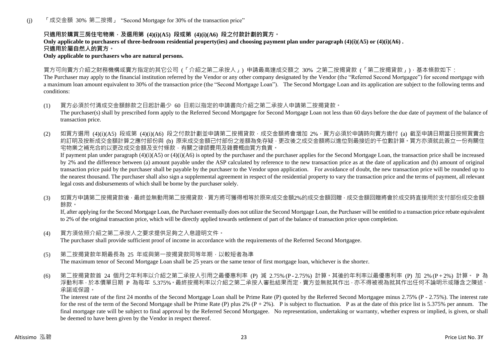(j) 「成交金額 30% 第二按揭」 "Second Mortgage for 30% of the transaction price"

# **只適用於購買三房住宅物業,及選用第 (4)(i)(A5) 段或第 (4)(i)(A6) 段之付款計劃的買方。**

**Only applicable to purchasers of three-bedroom residential property(ies) and choosing payment plan under paragraph (4)(i)(A5) or (4)(i)(A6) . 只適用於屬自然人的買方。**

**Only applicable to purchasers who are natural persons.**

買方可向賣方介紹之財務機構或賣方指定的其它公司 (「介紹之第二承按人」) 申請最高達成交額之 30% 之第二按揭貸款 (「第二按揭貸款」),基本條款如下:

The Purchaser may apply to the financial institution referred by the Vendor or any other company designated by the Vendor (the "Referred Second Mortgagee") for second mortgage with a maximum loan amount equivalent to 30% of the transaction price (the "Second Mortgage Loan"). The Second Mortgage Loan and its application are subject to the following terms and conditions:

- (1) 買方必須於付清成交金額餘款之日起計最少 60 日前以指定的申請書向介紹之第二承按人申請第二按揭貸款。 The purchaser(s) shall by prescribed form apply to the Referred Second Mortgagee for Second Mortgage Loan not less than 60 days before the due date of payment of the balance of transaction price.
- (2) 如買方選用 (4)(i)(A5) 段或第 (4)(i)(A6) 段之付款計劃並申請第二按揭貸款,成交金額將會增加 2%,買方必須於申請時向賣方繳付 (a) 截至申請日期當日按照買賣合 約訂明及按新成交金額計算之應付部份與 (b) 原來成交金額已付部份之差額為免存疑,更改後之成交金額將以進位到最接近的千位數計算。買方亦須就此簽立一份有關住 宅物業之補充合約以更改成交金額及支付條款,有關之律師費用及雜費概由買方負責。

If payment plan under paragraph  $(4)(i)(A5)$  or  $(4)(i)(A6)$  is opted by the purchaser and the purchaser applies for the Second Mortgage Loan, the transaction price shall be increased by 2% and the difference between (a) amount payable under the ASP calculated by reference to the new transaction price as at the date of application and (b) amount of original transaction price paid by the purchaser shall be payable by the purchaser to the Vendor upon application. For avoidance of doubt, the new transaction price will be rounded up to the nearest thousand. The purchaser shall also sign a supplemental agreement in respect of the residential property to vary the transaction price and the terms of payment, all relevant legal costs and disbursements of which shall be borne by the purchaser solely.

(3) 如買方申請第二按揭貸款後,最終並無動用第二按揭貸款,買方將可獲得相等於原來成交金額2%的成交金額回贈,成交金額回贈將會於成交時直接用於支付部份成交金額 餘款。

If, after applying for the Second Mortgage Loan, the Purchaser eventually does not utilize the Second Mortgage Loan, the Purchaser will be entitled to a transaction price rebate equivalent to 2% of the original transaction price, which will be directly applied towards settlement of part of the balance of transaction price upon completion.

- (4) 買方須依照介紹之第二承按人之要求提供足夠之入息證明文件。 The purchaser shall provide sufficient proof of income in accordance with the requirements of the Referred Second Mortgagee.
- (5) 第二按揭貸款年期最長為 25 年或與第一按揭貸款同等年期,以較短者為準

The maximum tenor of Second Mortgage Loan shall be 25 years or the same tenor of first mortgage loan, whichever is the shorter.

(6) 第二按揭貸款首 24 個月之年利率以介紹之第二承按人引用之最優惠利率 (P) 減 2.75% (P - 2.75%) 計算。其後的年利率以最優惠利率 (P) 加 2% (P + 2%) 計算。 P 為 浮動利率,於本價單日期 P 為每年 5.375%。最終按揭利率以介紹之第二承按人審批結果而定,賣方並無就其作出,亦不得被視為就其作出任何不論明示或隱含之陳述、 承諾或保證。

The interest rate of the first 24 months of the Second Mortgage Loan shall be Prime Rate (P) quoted by the Referred Second Mortgagee minus 2.75% (P - 2.75%). The interest rate for the rest of the term of the Second Mortgage shall be Prime Rate (P) plus 2%  $(P + 2\%)$ . P is subject to fluctuation. P as at the date of this price list is 5.375% per annum. The final mortgage rate will be subject to final approval by the Referred Second Mortgagee. No representation, undertaking or warranty, whether express or implied, is given, or shall be deemed to have been given by the Vendor in respect thereof.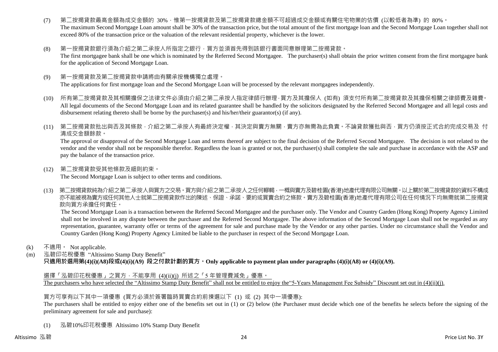- (7) 第二按揭貸款最高金額為成交金額的 30%,惟第一按揭貸款及第二按揭貸款總金額不可超過成交金額或有關住宅物業的估價 (以較低者為準) 的 80%。 The maximum Second Mortgage Loan amount shall be 30% of the transaction price, but the total amount of the first mortgage loan and the Second Mortgage Loan together shall not exceed 80% of the transaction price or the valuation of the relevant residential property, whichever is the lower.
- (8) 第一按揭貸款銀行須為介紹之第二承按人所指定之銀行,買方並須首先得到該銀行書面同意辦理第二按揭貸款。 The first mortgagee bank shall be one which is nominated by the Referred Second Mortgagee. The purchaser(s) shall obtain the prior written consent from the first mortgagee bank for the application of Second Mortgage Loan.
- (9) 第一按揭貸款及第二按揭貸款申請將由有關承按機構獨立處理。 The applications for first mortgage loan and the Second Mortgage Loan will be processed by the relevant mortgagees independently.
- (10) 所有第二按揭貸款及其相關擔保之法律文件必須由介紹之第二承按人指定律師行辦理,買方及其擔保人 (如有) 須支付所有第二按揭貸款及其擔保相關之律師費及雜費。 All legal documents of the Second Mortgage Loan and its related guarantee shall be handled by the solicitors designated by the Referred Second Mortgagee and all legal costs and disbursement relating thereto shall be borne by the purchaser(s) and his/her/their guarantor(s) (if any).
- (11) 第二按揭貸款批出與否及其條款 · 介紹之第二承按人有最終決定權 · 其決定與賣方無關 · 賣方亦無需為此負責 · 不論貸款獲批與否 · 買方仍須按正式合約完成交易及 付 清成交金額餘款。

The approval or disapproval of the Second Mortgage Loan and terms thereof are subject to the final decision of the Referred Second Mortgagee. The decision is not related to the vendor and the vendor shall not be responsible therefor. Regardless the loan is granted or not, the purchaser(s) shall complete the sale and purchase in accordance with the ASP and pay the balance of the transaction price.

(12) 第二按揭貸款受其他條款及細則約束。

The Second Mortgage Loan is subject to other terms and conditions.

(13) 第二按揭貸款純為介紹之第二承按人與買方之交易。買方與介紹之第二承按人之任何轇輵,一概與賣方及碧桂園(香港)地產代理有限公司無關。以上關於第二按揭貸款的資料不構成 亦不能被視為賣方或任何其他人士就第二按揭貸款作出的陳述、保證、承諾、要約或買賣合約之條款。賣方及碧桂園(香港)地產代理有限公司在任何情況下均無需就第二按揭貸 款向買方承擔任何責任。

The Second Mortgage Loan is a transaction between the Referred Second Mortgagee and the purchaser only. The Vendor and Country Garden (Hong Kong) Property Agency Limited shall not be involved in any dispute between the purchaser and the Referred Second Mortgagee. The above information of the Second Mortgage Loan shall not be regarded as any representation, guarantee, warranty offer or terms of the agreement for sale and purchase made by the Vendor or any other parties. Under no circumstance shall the Vendor and Country Garden (Hong Kong) Property Agency Limited be liable to the purchaser in respect of the Second Mortgage Loan.

(k) 不適用。 Not applicable.

(m) 泓碧印花稅優惠 "Altissimo Stamp Duty Benefit"

# **只適用於選用第(4)(i)(A8)段或(4)(i)(A9) 段之付款計劃的買方。Only applicable to payment plan under paragraphs (4)(i)(A8) or (4)(i)(A9).**

選擇「泓碧印花稅優惠」之買方‧不能享用 (4)(ii)(j) 所述之「5 年管理費減免」優惠。

The purchasers who have selected the "Altissimo Stamp Duty Benefit" shall not be entitled to enjoy the"5-Years Management Fee Subsidy" Discount set out in (4)(ii)(j).

# 買方可享有以下其中一項優惠 (買方必須於簽署臨時買賣合約前揀選以下 (1) 或 (2) 其中一項優惠):

The purchasers shall be entitled to enjoy either one of the benefits set out in (1) or (2) below (the Purchaser must decide which one of the benefits he selects before the signing of the preliminary agreement for sale and purchase):

(1) 泓碧10%印花稅優惠 Altissimo 10% Stamp Duty Benefit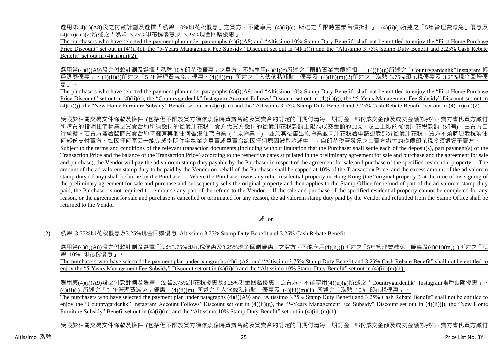選用第(4)(i)(A8)段之付款計劃及選擇「泓碧 10%印花稅優惠」之買方,不能享用 (4)(ii)(c) 所述之「限時置業售價折扣」、(4)(ii)(j)所述之「5年管理費減免」優惠及 (4)(iii)(m)(2)所述之「泓碧 3.75%印花稅優惠及 3.25%現金回贈優惠」。

The purchasers who have selected the payment plan under paragraphs (4)(i)(A8) and "Altissimo 10% Stamp Duty Benefit" shall not be entitled to enjoy the "First Home Purchase" Price Discount" set out in (4)(ii)(c), the "5-Years Management Fee Subsidy" Discount set out in (4)(ii)(j) and the "Altissimo 3.75% Stamp Duty Benefit and 3.25% Cash Rebate Benefit" set out in  $(4)(iii)(m)(2)$ .

選用第(4)(i)(A9)段之付款計劃及選擇「泓碧 10%印花稅優惠」之買方,不能享用(4)(ii)(c)所述之「限時置業售價折扣」、(4)(ii)(g)所述之「Countrygardenhk" Instagram 帳 戶跟隨優惠」、(4)(ii)(j)所述之「5 年管理費減免」優惠、(4)(ii)(m) 所述之「入伙傢私補貼」優惠及 (4)(iii)(m)(2)所述之「泓碧 3.75%印花稅優惠及 3.25%現金回贈優 惠」。

The purchasers who have selected the payment plan under paragraphs (4)(i)(A9) and "Altissimo 10% Stamp Duty Benefit" shall not be entitled to enjoy the "First Home Purchase Price Discount" set out in (4)(ii)(c), the "Countrygardenhk" Instagram Account Follows' Discount set out in (4)(ii)(g), the "5-Years Management Fee Subsidy" Discount set out in  $(4)(ii)(i)$ , the "New Home Furniture Subsidy" Benefit set out in  $(4)(ii)(m)$  and the "Altissimo 3.75% Stamp Duty Benefit and 3.25% Cash Rebate Benefit" set out in  $(4)(iii)(m)(2)$ .

受限於相關交易文件條款及條件 (包括但不限於買方須依照臨時買賣合約及買賣合約訂定的日期付清每一期訂金、部份成交金額及成交金額餘款^),賣方會代買方繳付 所購買的指明住宅物業之買賣合約所須繳付的從價印花稅。賣方代買方繳付的從價印花稅款額上限為成交金額的10%,超出上限的從價印花稅款額 (如有),由買方自 行承擔。若買方簽署臨時買賣合約時擁有其他任何香港住宅物業 (「原物業」) · 並於其後售出原物業並向印花稅署申請退還部分從價印花稅 · 買方不須將退還稅項任 何部份支付賣方。如因任何原因未能完成指明住宅物業之買賣或買賣合約因任何原因被取消或中止,自印花稅署發還之由賣方繳付的從價印花稅將須退還予賣方。 Subject to the terms and conditions of the relevant transaction documents (including without limitation that the Purchaser shall settle each of the deposit(s), part payment(s) of the Transaction Price and the balance of the Transaction Price^ according to the respective dates stipulated in the preliminary agreement for sale and purchase and the agreement for sale and purchase), the Vendor will pay the ad valorem stamp duty payable by the Purchaser in respect of the agreement for sale and purchase of the specified residential property. The amount of the ad valorem stamp duty to be paid by the Vendor on behalf of the Purchaser shall be capped at 10% of the Transaction Price, and the excess amount of the ad valorem stamp duty (if any) shall be borne by the Purchaser. Where the Purchaser owns any other residential property in Hong Kong (the "original property") at the time of his signing of the preliminary agreement for sale and purchase and subsequently sells the original property and then applies to the Stamp Office for refund of part of the ad valorem stamp duty paid, the Purchaser is not required to reimburse any part of the refund to the Vendor. If the sale and purchase of the specified residential property cannot be completed for any reason, or the agreement for sale and purchase is cancelled or terminated for any reason, the ad valorem stamp duty paid by the Vendor and refunded from the Stamp Office shall be returned to the Vendor.

或 or

(2) 泓碧 3.75%印花稅優惠及3.25%現金回贈優惠 Altissimo 3.75% Stamp Duty Benefit and 3.25% Cash Rebate Benefit

選用第(4)(i)(A8)段之付款計劃及選擇「泓碧3.75%印花稅優惠及3.25%現金回贈優惠」之買方,不能享用(4)(ii)(j)所述之「5年管理費減免」優惠及(4)(iii)(m)(1)所述之「泓 碧 10% 印花稅優惠」。

The purchasers who have selected the payment plan under paragraphs (4)(i)(A8) and "Altissimo 3.75% Stamp Duty Benefit and 3.25% Cash Rebate Benefit" shall not be entitled to enjoy the "5-Years Management Fee Subsidy" Discount set out in (4)(ii)(j) and the "Altissimo 10% Stamp Duty Benefit" set out in (4)(iii)(m)(1).

選用第(4)(i)(A9)段之付款計劃及選擇「泓碧3.75%印花稅優惠及3.25%現金回贈優惠」之買方,不能享用(4)(ii)(g)所述之「Countrygardenhk"Instagram帳戶跟隨優惠」、 (4)(ii)(j) 所述之「5 年管理費減免」優惠、(4)(ii)(m) 所述之「入伙傢私補貼」優惠及 (4)(iii)(m)(1) 所述之「泓碧 10% 印花稅優惠」。

The purchasers who have selected the payment plan under paragraphs (4)(i)(A9) and "Altissimo 3.75% Stamp Duty Benefit and 3.25% Cash Rebate Benefit" shall not be entitled to enjoy the "Countrygardenhk" Instagram Account Follows' Discount set out in  $(4)(ii)(g)$ , the "5-Years Management Fee Subsidy" Discount set out in  $(4)(ii)(j)$ , the "New Home" Furniture Subsidy" Benefit set out in (4)(ii)(m) and the "Altissimo 10% Stamp Duty Benefit" set out in (4)(iii)(m)(1).

受限於相關交易文件條款及條件 (包括但不限於買方須依照臨時買賣合約及買賣合約訂定的日期付清每一期訂金、部份成交金額及成交金額餘款^), 賣方會代買方繳付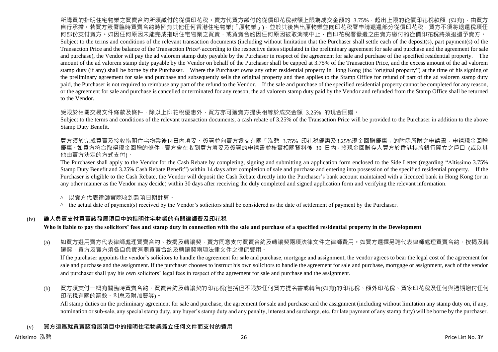所購買的指明住宅物業之買賣合約所須繳付的從價印花稅。賣方代買方繳付的從價印花稅款額上限為成交金額的 3.75%,超出上限的從價印花稅款額 (如有),由買方 自行承擔。若買方簽署臨時買賣合約時擁有其他任何香港住宅物業(「原物業」),並於其後售出原物業並向印花稅署申請退還部分從價印花稅,賈方不須將退還稅項任 何部份支付賣方。如因任何原因未能完成指明住宅物業之買賣,或買賣合約因任何原因被取消或中止,自印花稅署發還之由賣方繳付的從價印花稅將須退還予賣方。 Subject to the terms and conditions of the relevant transaction documents (including without limitation that the Purchaser shall settle each of the deposit(s), part payment(s) of the Transaction Price and the balance of the Transaction Price<sup> $\wedge$ </sup> according to the respective dates stipulated in the preliminary agreement for sale and purchase and the agreement for sale and purchase), the Vendor will pay the ad valorem stamp duty payable by the Purchaser in respect of the agreement for sale and purchase of the specified residential property. The amount of the ad valorem stamp duty payable by the Vendor on behalf of the Purchaser shall be capped at 3.75% of the Transaction Price, and the excess amount of the ad valorem stamp duty (if any) shall be borne by the Purchaser. Where the Purchaser owns any other residential property in Hong Kong (the "original property") at the time of his signing of the preliminary agreement for sale and purchase and subsequently sells the original property and then applies to the Stamp Office for refund of part of the ad valorem stamp duty paid, the Purchaser is not required to reimbuse any part of the refund to the Vendor. If the sale and purchase of the specified residential property cannot be completed for any reason, or the agreement for sale and purchase is cancelled or terminated for any reason, the ad valorem stamp duty paid by the Vendor and refunded from the Stamp Office shall be returned to the Vendor.

# 受限於相關交易文件條款及條件,除以上印花稅優惠外,買方亦可獲賣方提供相等於成交金額 3.25% 的現金回贈。

Subject to the terms and conditions of the relevant transaction documents, a cash rebate of 3.25% of the Transaction Price will be provided to the Purchaser in addition to the above Stamp Duty Benefit.

買方須於完成買賣及接收指明住宅物業後14日內填妥、簽署並向賣方遞交有關「泓碧 3.75% 印花稅優惠及3.25%現金回贈優惠」的附函所附之申請書, 申請現金回贈 優惠 • 如買方符合取得現金回贈的條件 • 賣方會在收到買方填妥及簽署的申請書並核實相關資料後 30 日內 • 將現金回贈存入買方於香港持牌銀行開立之戶口 (或以其 他由賣方決定的方式支付)。

The Purchaser shall apply to the Vendor for the Cash Rebate by completing, signing and submitting an application form enclosed to the Side Letter (regarding "Altissimo 3.75% Stamp Duty Benefit and 3.25% Cash Rebate Benefit") within 14 days after completion of sale and purchase and entering into possession of the specified residential property. If the Purchaser is eligible to the Cash Rebate, the Vendor will deposit the Cash Rebate directly into the Purchaser's bank account maintained with a licenced bank in Hong Kong (or in any other manner as the Vendor may decide) within 30 days after receiving the duly completed and signed application form and verifying the relevant information.

- ^ 以賣方代表律師實際收到款項日期計算。
- $\land$  the actual date of payment(s) received by the Vendor's solicitors shall be considered as the date of settlement of payment by the Purchaser.

# (iv) **誰人負責支付買賣該發展項目中的指明住宅物業的有關律師費及印花稅**

**Who is liable to pay the solicitors' fees and stamp duty in connection with the sale and purchase of a specified residential property in the Development**

(a) 如買方選用賣方代表律師處理買賣合約、按揭及轉讓契,賣方同意支付買賣合約及轉讓契兩項法律文件之律師費用。如買方選擇另聘代表律師處理買賣合約、按揭及轉 讓契,買方及賣方須各自負責有關買賣合約及轉讓契兩項法律文件之律師費用。

If the purchaser appoints the vendor's solicitors to handle the agreement for sale and purchase, mortgage and assignment, the vendor agrees to bear the legal cost of the agreement for sale and purchase and the assignment. If the purchaser chooses to instruct his own solicitors to handle the agreement for sale and purchase, mortgage or assignment, each of the vendor and purchaser shall pay his own solicitors' legal fees in respect of the agreement for sale and purchase and the assignment.

(b) 買方須支付一概有關臨時買賣合約、買賣合約及轉讓契的印花稅(包括但不限於任何買方提名書或轉售(如有)的印花稅、額外印花稅、買家印花稅及任何與過期繳付任何 印花稅有關的罰款、利息及附加費等)。

All stamp duties on the preliminary agreement for sale and purchase, the agreement for sale and purchase and the assignment (including without limitation any stamp duty on, if any, nomination or sub-sale, any special stamp duty, any buyer's stamp duty and any penalty, interest and surcharge, etc. for late payment of any stamp duty) will be borne by the purchaser.

# (v) **買方須爲就買賣該發展項目中的指明住宅物業簽立任何文件而支付的費用**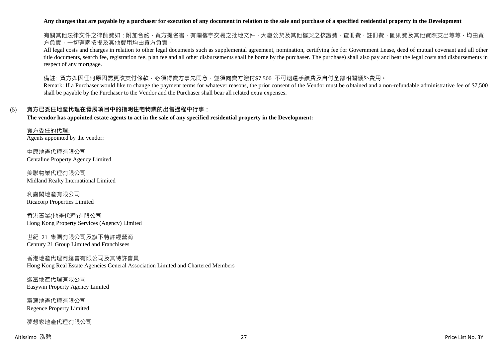#### **Any charges that are payable by a purchaser for execution of any document in relation to the sale and purchase of a specified residential property in the Development**

有關其他法律文件之律師費如:附加合約、買方提名書、有關樓宇交易之批地文件、大廈公契及其他樓契之核證費、查冊費、註冊費、圖則費及其他實際支出等等,均由買 方負責,一切有關按揭及其他費用均由買方負責。

All legal costs and charges in relation to other legal documents such as supplemental agreement, nomination, certifying fee for Government Lease, deed of mutual covenant and all other title documents, search fee, registration fee, plan fee and all other disbursements shall be borne by the purchaser. The purchase) shall also pay and bear the legal costs and disbursements in respect of any mortgage.

備註: 買方如因任何原因需更改支付條款,必須得賣方事先同意,並須向賣方繳付\$7,500 不可狠還手續費及自付全部相關額外費用。

Remark: If a Purchaser would like to change the payment terms for whatever reasons, the prior consent of the Vendor must be obtained and a non-refundable administrative fee of \$7,500 shall be payable by the Purchaser to the Vendor and the Purchaser shall bear all related extra expenses.

#### (5) **賣方已委任地產代理在發展項目中的指明住宅物業的出售過程中行事:**

**The vendor has appointed estate agents to act in the sale of any specified residential property in the Development:**

賣方委任的代理: Agents appointed by the vendor:

中原地產代理有限公司 Centaline Property Agency Limited

美聯物業代理有限公司 Midland Realty International Limited

利嘉閣地產有限公司 Ricacorp Properties Limited

香港置業(地產代理)有限公司 Hong Kong Property Services (Agency) Limited

世紀 21 集團有限公司及旗下特許經營商 Century 21 Group Limited and Franchisees

香港地產代理商總會有限公司及其特許會員 Hong Kong Real Estate Agencies General Association Limited and Chartered Members

迎富地產代理有限公司 Easywin Property Agency Limited

富滙地產代理有限公司 Regence Property Limited

夢想家地產代理有限公司